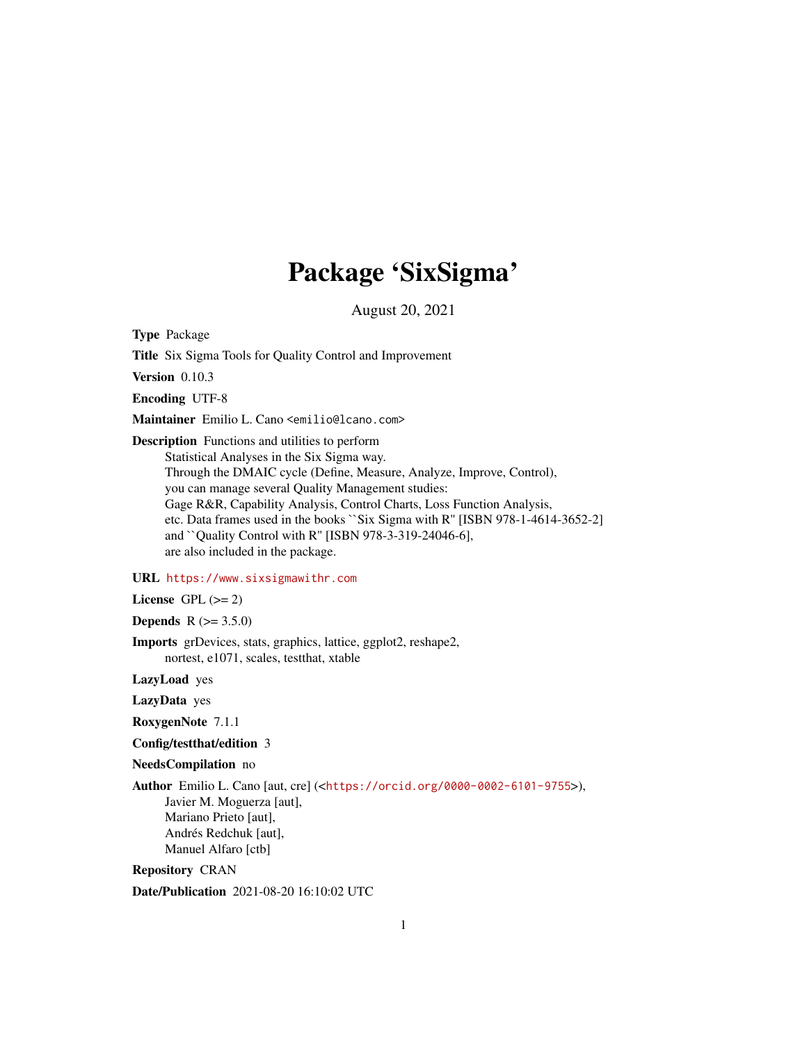# Package 'SixSigma'

August 20, 2021

Type Package

Title Six Sigma Tools for Quality Control and Improvement

Version 0.10.3

Encoding UTF-8

Maintainer Emilio L. Cano <emilio@lcano.com>

Description Functions and utilities to perform

Statistical Analyses in the Six Sigma way. Through the DMAIC cycle (Define, Measure, Analyze, Improve, Control), you can manage several Quality Management studies: Gage R&R, Capability Analysis, Control Charts, Loss Function Analysis, etc. Data frames used in the books ``Six Sigma with R'' [ISBN 978-1-4614-3652-2] and ``Quality Control with R'' [ISBN 978-3-319-24046-6], are also included in the package.

### URL <https://www.sixsigmawithr.com>

License GPL  $(>= 2)$ 

**Depends** R  $(>= 3.5.0)$ 

Imports grDevices, stats, graphics, lattice, ggplot2, reshape2, nortest, e1071, scales, testthat, xtable

LazyLoad yes

LazyData yes

RoxygenNote 7.1.1

Config/testthat/edition 3

NeedsCompilation no

Author Emilio L. Cano [aut, cre] (<<https://orcid.org/0000-0002-6101-9755>>), Javier M. Moguerza [aut], Mariano Prieto [aut], Andrés Redchuk [aut], Manuel Alfaro [ctb]

Repository CRAN

Date/Publication 2021-08-20 16:10:02 UTC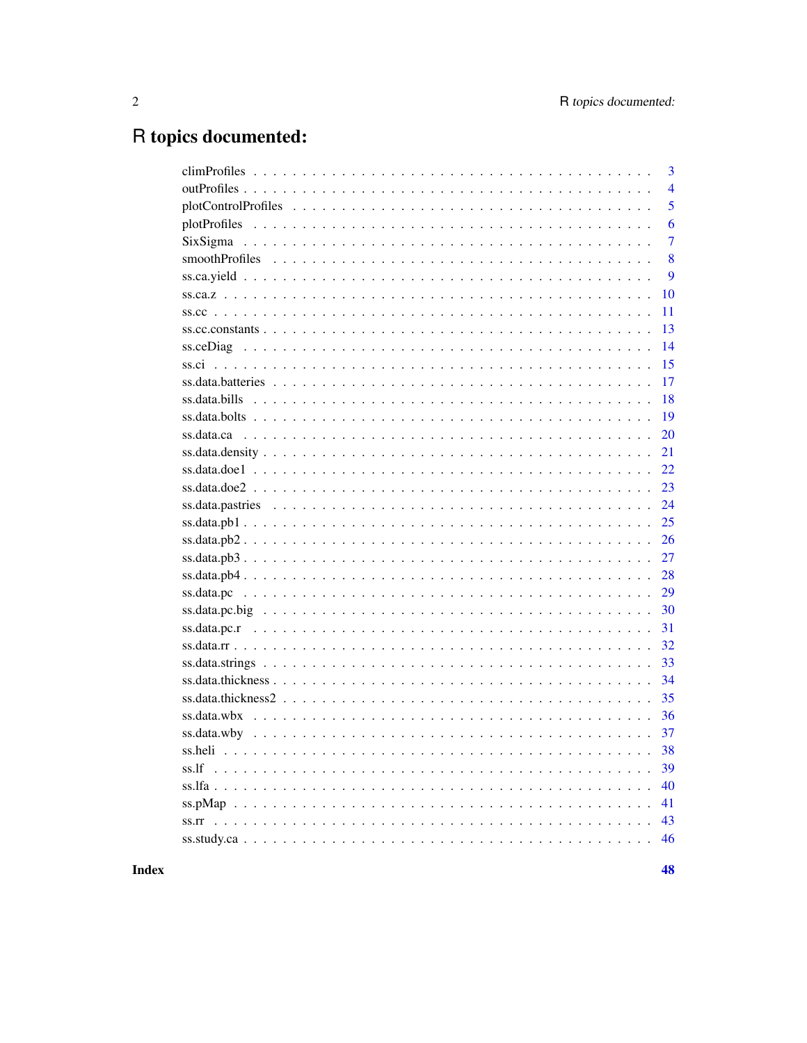# R topics documented:

|                                                                                                                       | $\overline{\mathbf{3}}$ |
|-----------------------------------------------------------------------------------------------------------------------|-------------------------|
|                                                                                                                       | $\overline{4}$          |
|                                                                                                                       | 5                       |
|                                                                                                                       | 6                       |
|                                                                                                                       | $\overline{7}$          |
|                                                                                                                       | 8                       |
|                                                                                                                       | 9                       |
|                                                                                                                       | 10                      |
|                                                                                                                       | 11                      |
|                                                                                                                       | 13                      |
|                                                                                                                       | 14                      |
|                                                                                                                       | 15                      |
|                                                                                                                       | 17                      |
|                                                                                                                       | 18                      |
|                                                                                                                       | 19                      |
|                                                                                                                       | 20                      |
|                                                                                                                       | 21                      |
|                                                                                                                       | 22                      |
|                                                                                                                       | 23                      |
|                                                                                                                       | 24                      |
|                                                                                                                       | 25                      |
|                                                                                                                       | 26                      |
| $ss.data.pb3$                                                                                                         | 27                      |
|                                                                                                                       | 28                      |
|                                                                                                                       | 29                      |
| $ss.data.pcbig \dots \dots \dots \dots \dots \dots \dots \dots \dots \dots \dots \dots \dots \dots \dots \dots \dots$ | 30                      |
|                                                                                                                       | 31                      |
|                                                                                                                       | 32                      |
|                                                                                                                       | 33                      |
|                                                                                                                       | 34                      |
|                                                                                                                       | 35                      |
|                                                                                                                       | 36                      |
|                                                                                                                       | 37                      |
|                                                                                                                       | 38                      |
|                                                                                                                       | 39                      |
|                                                                                                                       | 40                      |
|                                                                                                                       | 41                      |
|                                                                                                                       | 43                      |
|                                                                                                                       | 46                      |
|                                                                                                                       |                         |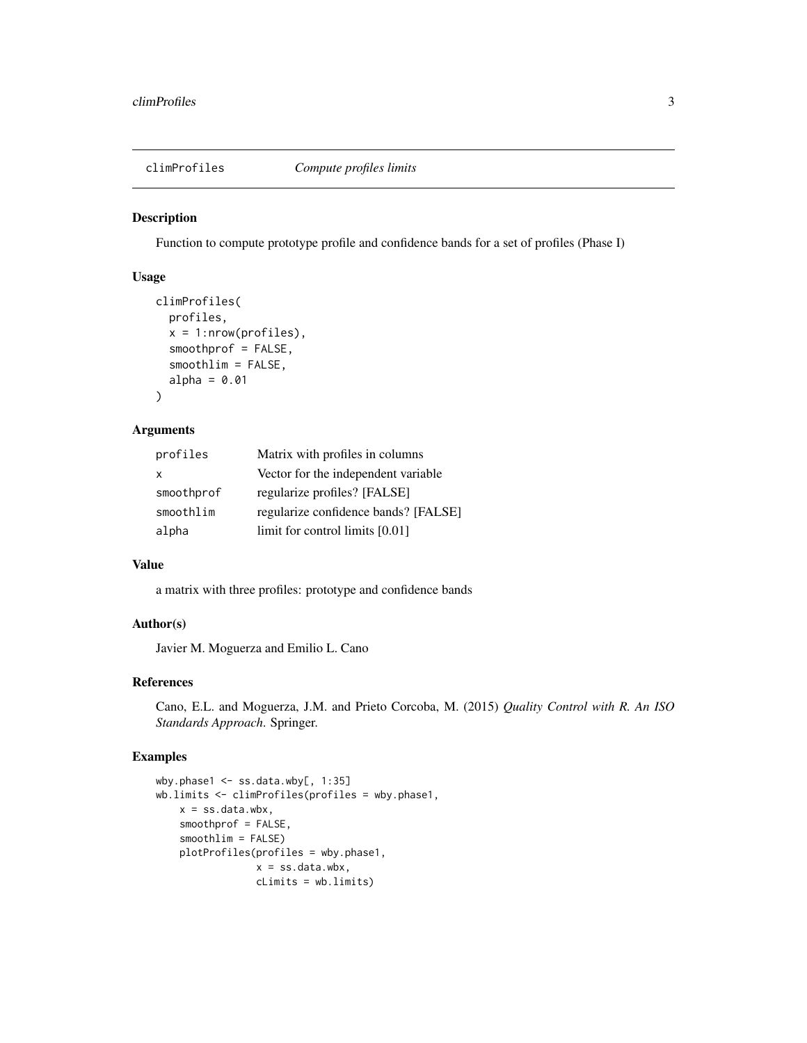<span id="page-2-0"></span>

Function to compute prototype profile and confidence bands for a set of profiles (Phase I)

#### Usage

```
climProfiles(
 profiles,
  x = 1:nrow(profiles),
  smoothprof = FALSE,
  smoothlim = FALSE,
  alpha = 0.01)
```
### Arguments

| profiles     | Matrix with profiles in columns      |
|--------------|--------------------------------------|
| $\mathsf{x}$ | Vector for the independent variable  |
| smoothprof   | regularize profiles? [FALSE]         |
| smoothlim    | regularize confidence bands? [FALSE] |
| alpha        | limit for control limits $[0.01]$    |

### Value

a matrix with three profiles: prototype and confidence bands

### Author(s)

Javier M. Moguerza and Emilio L. Cano

### References

Cano, E.L. and Moguerza, J.M. and Prieto Corcoba, M. (2015) *Quality Control with R. An ISO Standards Approach*. Springer.

```
wby.phase1 <- ss.data.wby[, 1:35]
wb.limits <- climProfiles(profiles = wby.phase1,
   x = ss.data.wbx,smoothprof = FALSE,
   smoothlim = FALSE)
   plotProfiles(profiles = wby.phase1,
                 x = ss.data.wbx,
                 cLimits = wb.limits)
```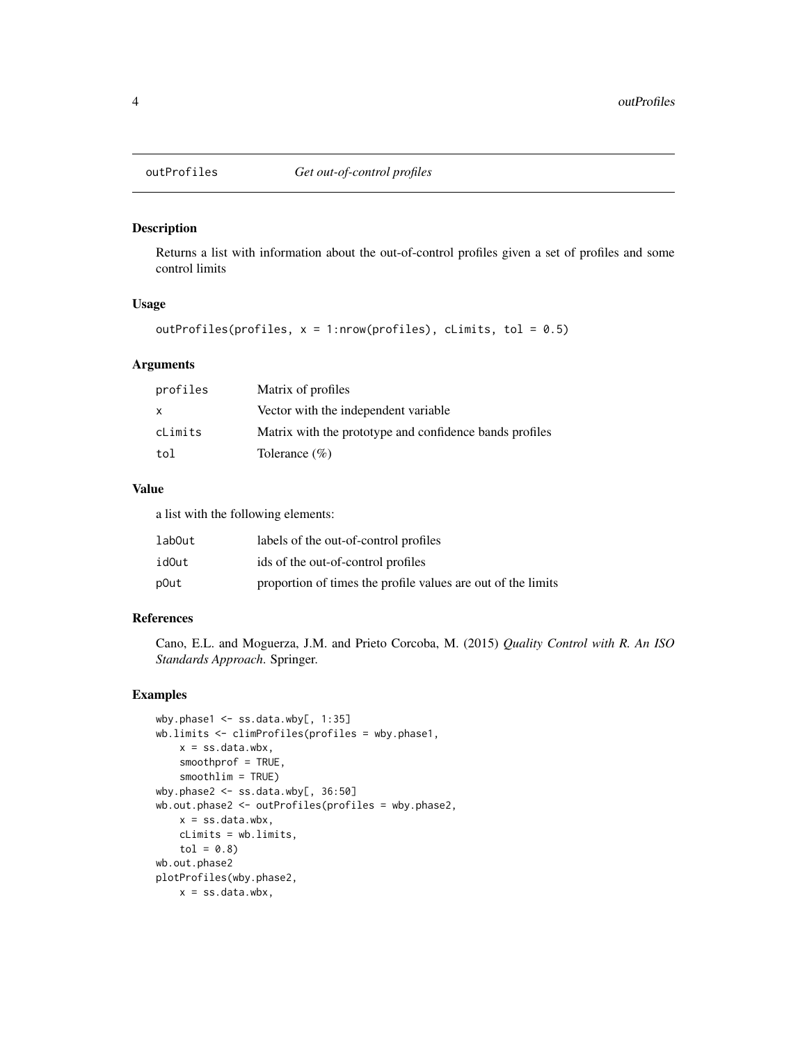<span id="page-3-0"></span>

Returns a list with information about the out-of-control profiles given a set of profiles and some control limits

### Usage

```
outProfiles(profiles, x = 1:nrow(profiles), cLimits, tol = 0.5)
```
#### Arguments

| profiles | Matrix of profiles                                      |
|----------|---------------------------------------------------------|
| X        | Vector with the independent variable                    |
| cLimits  | Matrix with the prototype and confidence bands profiles |
| tol      | Tolerance $(\% )$                                       |

### Value

a list with the following elements:

| labOut | labels of the out-of-control profiles                        |
|--------|--------------------------------------------------------------|
| idOut  | ids of the out-of-control profiles                           |
| p0ut   | proportion of times the profile values are out of the limits |

#### References

Cano, E.L. and Moguerza, J.M. and Prieto Corcoba, M. (2015) *Quality Control with R. An ISO Standards Approach*. Springer.

```
wby.phase1 \leq ss.data.wby[, 1:35]
wb.limits <- climProfiles(profiles = wby.phase1,
   x = ss.data.wbx,
   smoothprof = TRUE,
   smoothlim = TRUE)
wby.phase2 <- ss.data.wby[, 36:50]
wb.out.phase2 <- outProfiles(profiles = wby.phase2,
   x = ss.data.wbx,cLimits = wb.limits,
    tol = 0.8)
wb.out.phase2
plotProfiles(wby.phase2,
   x = ss.data.wbx,
```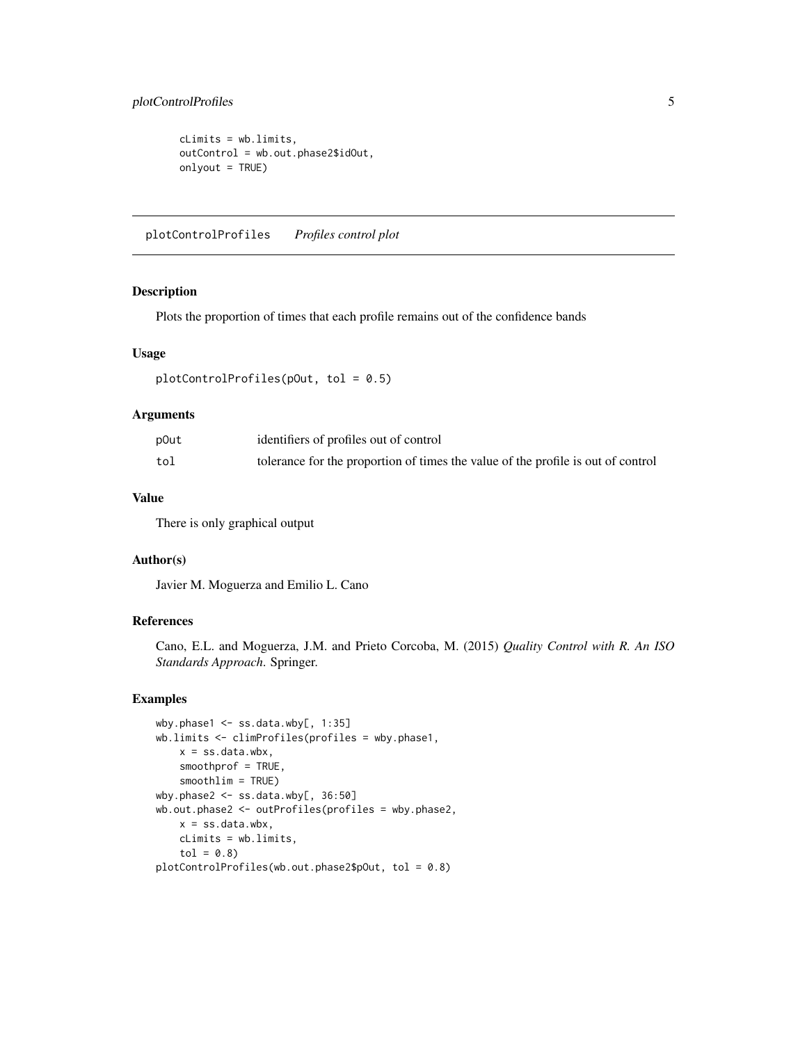### <span id="page-4-0"></span>plotControlProfiles 5

```
cLimits = wb.limits,
outControl = wb.out.phase2$idOut,
onlyout = TRUE)
```
plotControlProfiles *Profiles control plot*

### Description

Plots the proportion of times that each profile remains out of the confidence bands

#### Usage

```
plotControlProfiles(pOut, tol = 0.5)
```
### Arguments

| p0ut | identifiers of profiles out of control                                           |
|------|----------------------------------------------------------------------------------|
| tol  | tolerance for the proportion of times the value of the profile is out of control |

### Value

There is only graphical output

#### Author(s)

Javier M. Moguerza and Emilio L. Cano

### References

Cano, E.L. and Moguerza, J.M. and Prieto Corcoba, M. (2015) *Quality Control with R. An ISO Standards Approach*. Springer.

```
wby.phase1 <- ss.data.wby[, 1:35]
wb.limits <- climProfiles(profiles = wby.phase1,
   x = ss.data.wbx,smoothprof = TRUE,
   smoothlim = TRUE)
wby.phase2 <- ss.data.wby[, 36:50]
wb.out.phase2 <- outProfiles(profiles = wby.phase2,
   x = ss.data.wbx,cLimits = wb.limits,
   tol = 0.8)
plotControlProfiles(wb.out.phase2$pOut, tol = 0.8)
```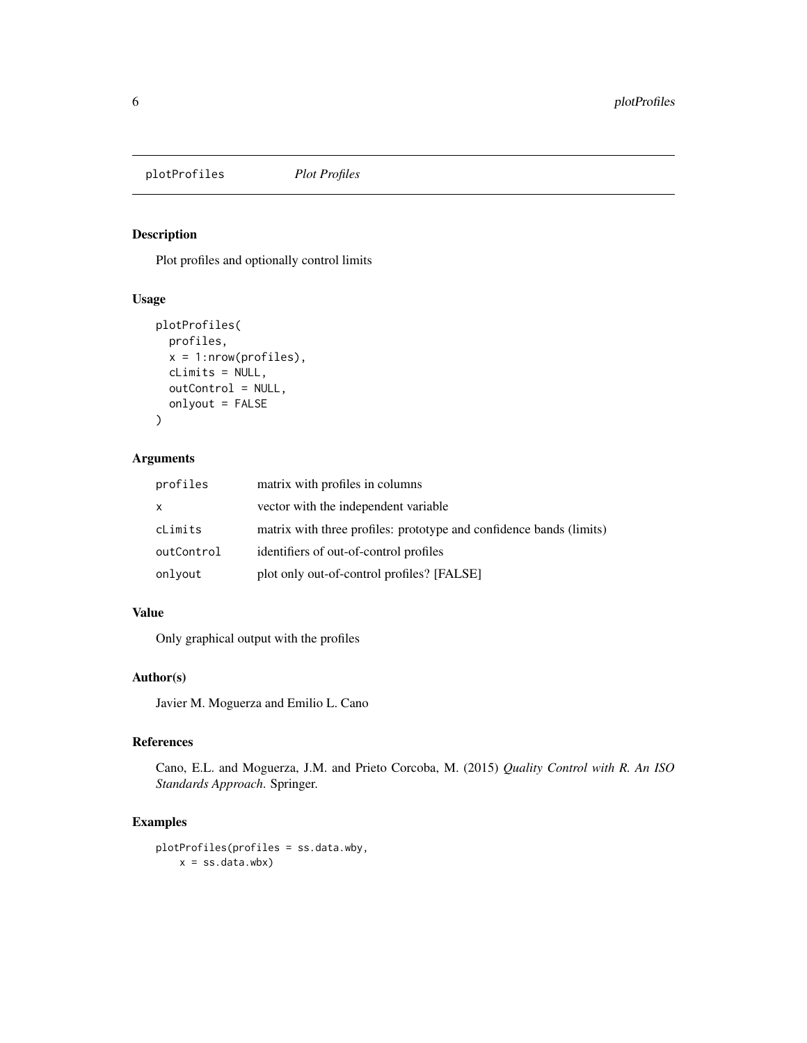<span id="page-5-0"></span>plotProfiles *Plot Profiles*

#### Description

Plot profiles and optionally control limits

### Usage

```
plotProfiles(
  profiles,
  x = 1:nrow(profiles),
  cLimits = NULL,
  outControl = NULL,
  onlyout = FALSE
\mathcal{L}
```
### Arguments

| profiles   | matrix with profiles in columns                                     |
|------------|---------------------------------------------------------------------|
| X          | vector with the independent variable                                |
| cLimits    | matrix with three profiles: prototype and confidence bands (limits) |
| outControl | identifiers of out-of-control profiles                              |
| onlyout    | plot only out-of-control profiles? [FALSE]                          |

### Value

Only graphical output with the profiles

### Author(s)

Javier M. Moguerza and Emilio L. Cano

### References

Cano, E.L. and Moguerza, J.M. and Prieto Corcoba, M. (2015) *Quality Control with R. An ISO Standards Approach*. Springer.

```
plotProfiles(profiles = ss.data.wby,
   x = ss.data.wbx)
```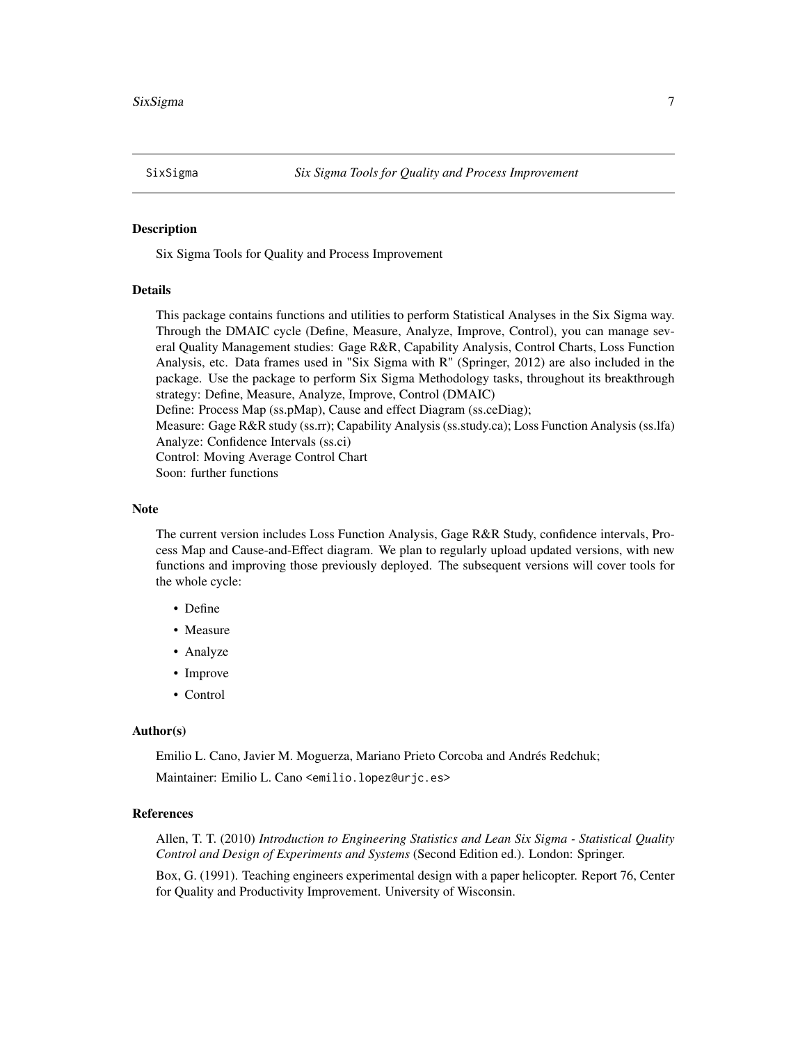<span id="page-6-0"></span>Six Sigma Tools for Quality and Process Improvement

### Details

This package contains functions and utilities to perform Statistical Analyses in the Six Sigma way. Through the DMAIC cycle (Define, Measure, Analyze, Improve, Control), you can manage several Quality Management studies: Gage R&R, Capability Analysis, Control Charts, Loss Function Analysis, etc. Data frames used in "Six Sigma with R" (Springer, 2012) are also included in the package. Use the package to perform Six Sigma Methodology tasks, throughout its breakthrough strategy: Define, Measure, Analyze, Improve, Control (DMAIC) Define: Process Map (ss.pMap), Cause and effect Diagram (ss.ceDiag); Measure: Gage R&R study (ss.rr); Capability Analysis (ss.study.ca); Loss Function Analysis (ss.lfa) Analyze: Confidence Intervals (ss.ci)

Control: Moving Average Control Chart

Soon: further functions

### Note

The current version includes Loss Function Analysis, Gage R&R Study, confidence intervals, Process Map and Cause-and-Effect diagram. We plan to regularly upload updated versions, with new functions and improving those previously deployed. The subsequent versions will cover tools for the whole cycle:

- Define
- Measure
- Analyze
- Improve
- Control

#### Author(s)

Emilio L. Cano, Javier M. Moguerza, Mariano Prieto Corcoba and Andrés Redchuk; Maintainer: Emilio L. Cano <emilio.lopez@urjc.es>

#### References

Allen, T. T. (2010) *Introduction to Engineering Statistics and Lean Six Sigma - Statistical Quality Control and Design of Experiments and Systems* (Second Edition ed.). London: Springer.

Box, G. (1991). Teaching engineers experimental design with a paper helicopter. Report 76, Center for Quality and Productivity Improvement. University of Wisconsin.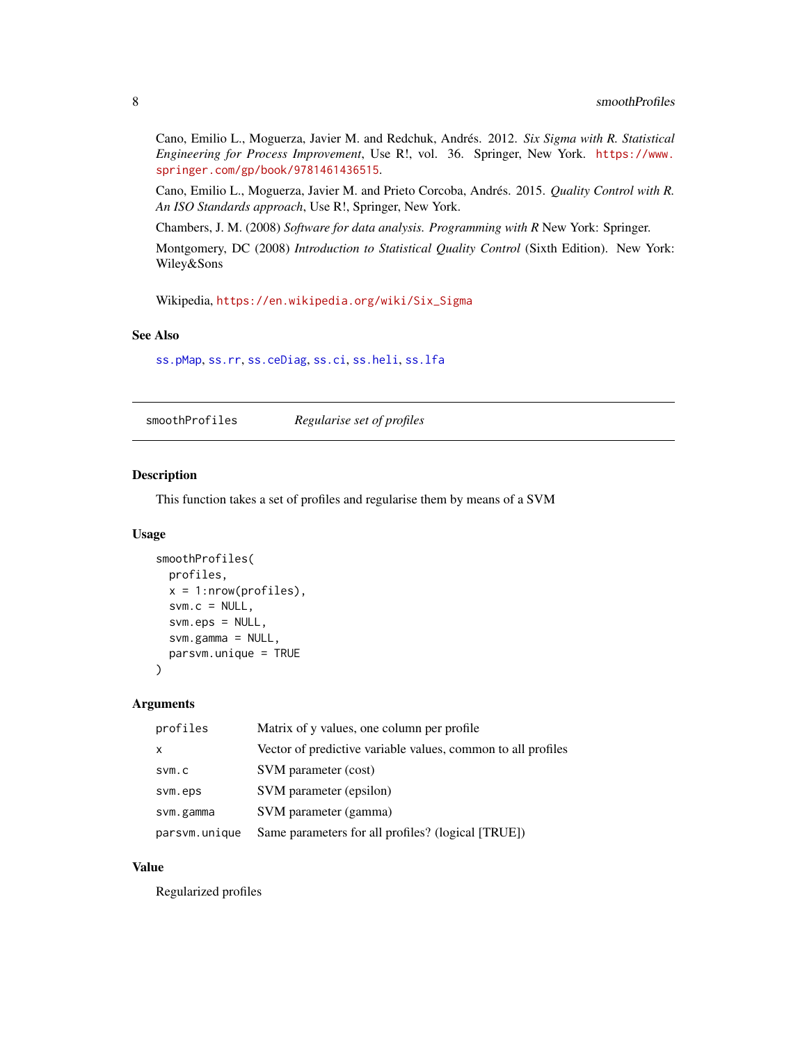<span id="page-7-0"></span>Cano, Emilio L., Moguerza, Javier M. and Redchuk, Andrés. 2012. *Six Sigma with R. Statistical Engineering for Process Improvement*, Use R!, vol. 36. Springer, New York. [https://www.](https://www.springer.com/gp/book/9781461436515) [springer.com/gp/book/9781461436515](https://www.springer.com/gp/book/9781461436515).

Cano, Emilio L., Moguerza, Javier M. and Prieto Corcoba, Andrés. 2015. *Quality Control with R. An ISO Standards approach*, Use R!, Springer, New York.

Chambers, J. M. (2008) *Software for data analysis. Programming with R* New York: Springer.

Montgomery, DC (2008) *Introduction to Statistical Quality Control* (Sixth Edition). New York: Wiley&Sons

Wikipedia, [https://en.wikipedia.org/wiki/Six\\_Sigma](https://en.wikipedia.org/wiki/Six_Sigma)

#### See Also

[ss.pMap](#page-40-1), [ss.rr](#page-42-1), [ss.ceDiag](#page-13-1), [ss.ci](#page-14-1), [ss.heli](#page-37-1), [ss.lfa](#page-39-1)

smoothProfiles *Regularise set of profiles*

#### Description

This function takes a set of profiles and regularise them by means of a SVM

#### Usage

```
smoothProfiles(
 profiles,
 x = 1:nrow(profiles),
  svm.c = NULL,svm.eps = NULL,svm.gamma = NULL,
 parsvm.unique = TRUE
)
```
#### Arguments

| profiles      | Matrix of y values, one column per profile.                  |
|---------------|--------------------------------------------------------------|
| x             | Vector of predictive variable values, common to all profiles |
| SVM.C         | SVM parameter (cost)                                         |
| svm.eps       | SVM parameter (epsilon)                                      |
| svm.gamma     | SVM parameter (gamma)                                        |
| parsvm.unique | Same parameters for all profiles? (logical [TRUE])           |

### Value

Regularized profiles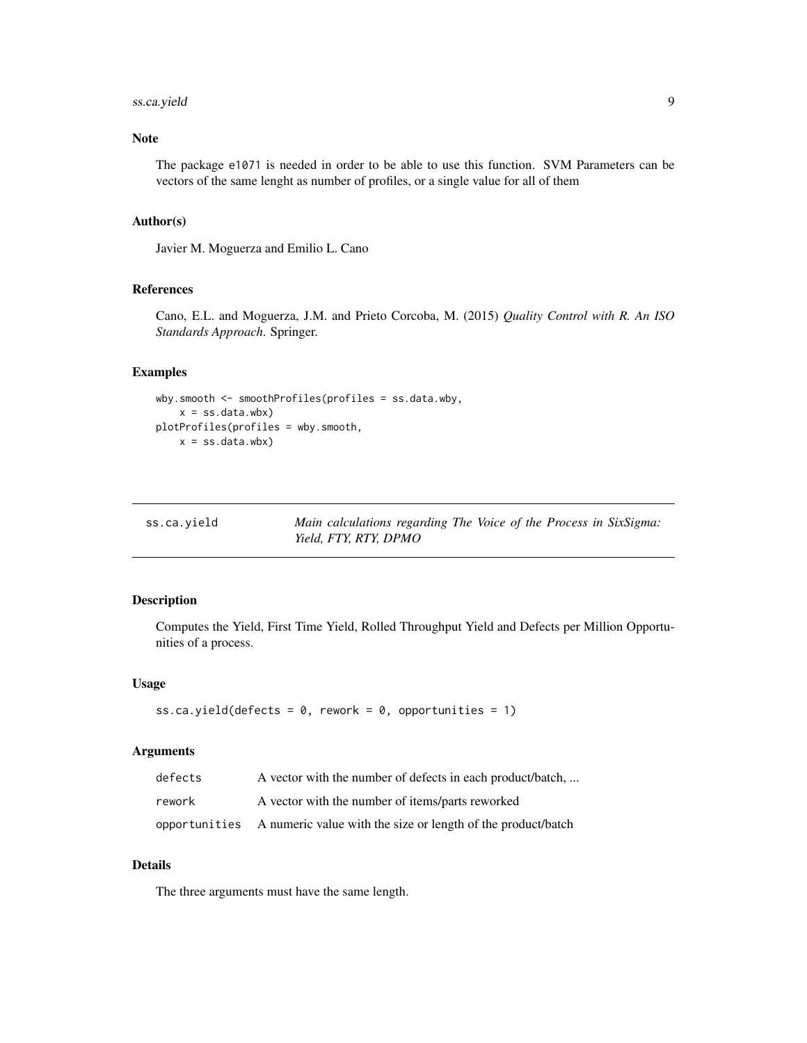### <span id="page-8-0"></span>ss.ca.yield 9

### Note

The package e1071 is needed in order to be able to use this function. SVM Parameters can be vectors of the same lenght as number of profiles, or a single value for all of them

#### Author(s)

Javier M. Moguerza and Emilio L. Cano

### References

Cano, E.L. and Moguerza, J.M. and Prieto Corcoba, M. (2015) *Quality Control with R. An ISO Standards Approach*. Springer.

#### Examples

```
wby.smooth <- smoothProfiles(profiles = ss.data.wby,
   x = ss.data.wbx)plotProfiles(profiles = wby.smooth,
   x = ss.data.wbx)
```

| ss.ca.yield | Main calculations regarding The Voice of the Process in SixSigma: |
|-------------|-------------------------------------------------------------------|
|             | Yield, FTY, RTY, DPMO                                             |

### Description

Computes the Yield, First Time Yield, Rolled Throughput Yield and Defects per Million Opportunities of a process.

#### Usage

```
ss.ca.yield(defects = 0, rework = 0, opportunities = 1)
```
#### Arguments

| defects | A vector with the number of defects in each product/batch,                 |
|---------|----------------------------------------------------------------------------|
| rework  | A vector with the number of items/parts reworked                           |
|         | opportunities A numeric value with the size or length of the product/batch |

### Details

The three arguments must have the same length.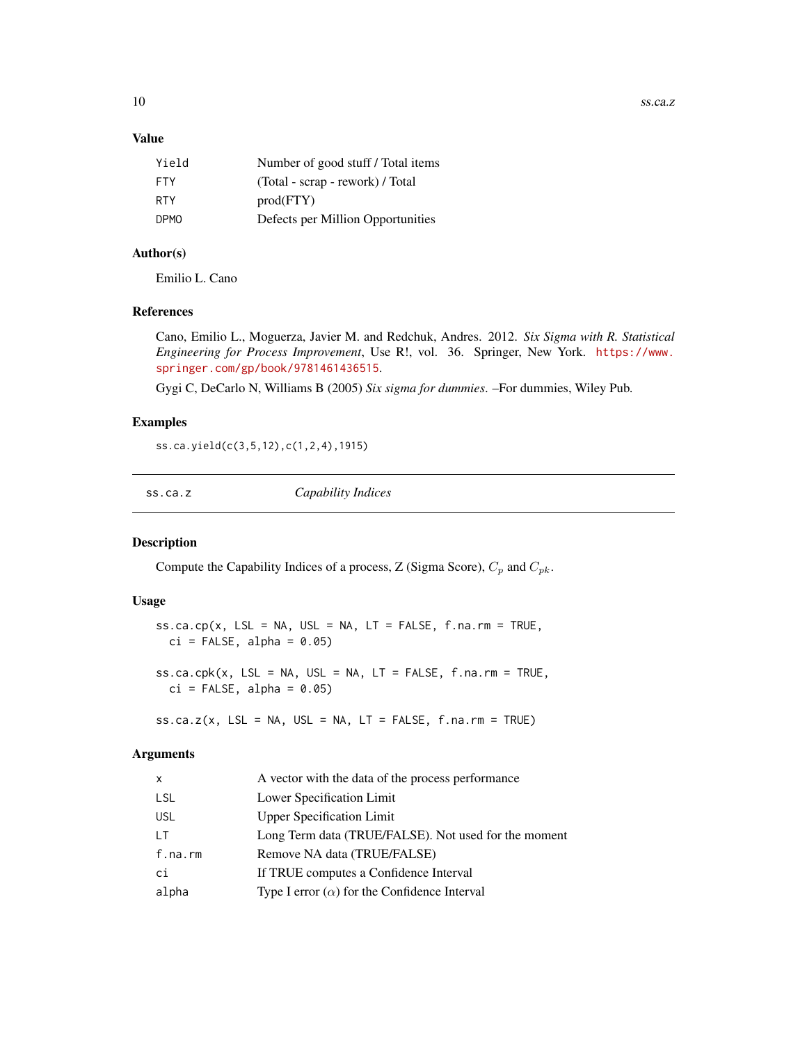<span id="page-9-0"></span>10 ss.ca.z

### Value

| Number of good stuff / Total items |
|------------------------------------|
| (Total - scrap - rework) / Total   |
| prod(FTY)                          |
| Defects per Million Opportunities  |
|                                    |

### Author(s)

Emilio L. Cano

### References

Cano, Emilio L., Moguerza, Javier M. and Redchuk, Andres. 2012. *Six Sigma with R. Statistical Engineering for Process Improvement*, Use R!, vol. 36. Springer, New York. [https://www.](https://www.springer.com/gp/book/9781461436515) [springer.com/gp/book/9781461436515](https://www.springer.com/gp/book/9781461436515).

Gygi C, DeCarlo N, Williams B (2005) *Six sigma for dummies*. –For dummies, Wiley Pub.

#### Examples

ss.ca.yield(c(3,5,12),c(1,2,4),1915)

ss.ca.z *Capability Indices*

### <span id="page-9-1"></span>Description

Compute the Capability Indices of a process, Z (Sigma Score),  $C_p$  and  $C_{pk}$ .

#### Usage

 $ss.ca.cp(x, LSL = NA, USL = NA, LT = FALSE, f.na.rm = TRUE,$  $ci = FALSE, alpha = 0.05)$ 

 $ss.ca.cpk(x, LSL = NA, USL = NA, LT = FALSE, f.na.rm = TRUE,$  $ci = FALSE, alpha = 0.05)$ 

 $ss.ca.z(x, LSL = NA, USL = NA, LT = FALSE, f.na.rm = TRUE)$ 

#### Arguments

| X.      | A vector with the data of the process performance    |
|---------|------------------------------------------------------|
| LSL     | Lower Specification Limit                            |
| USL     | <b>Upper Specification Limit</b>                     |
| LТ      | Long Term data (TRUE/FALSE). Not used for the moment |
| f.na.rm | Remove NA data (TRUE/FALSE)                          |
| сi      | If TRUE computes a Confidence Interval               |
| alpha   | Type I error $(\alpha)$ for the Confidence Interval  |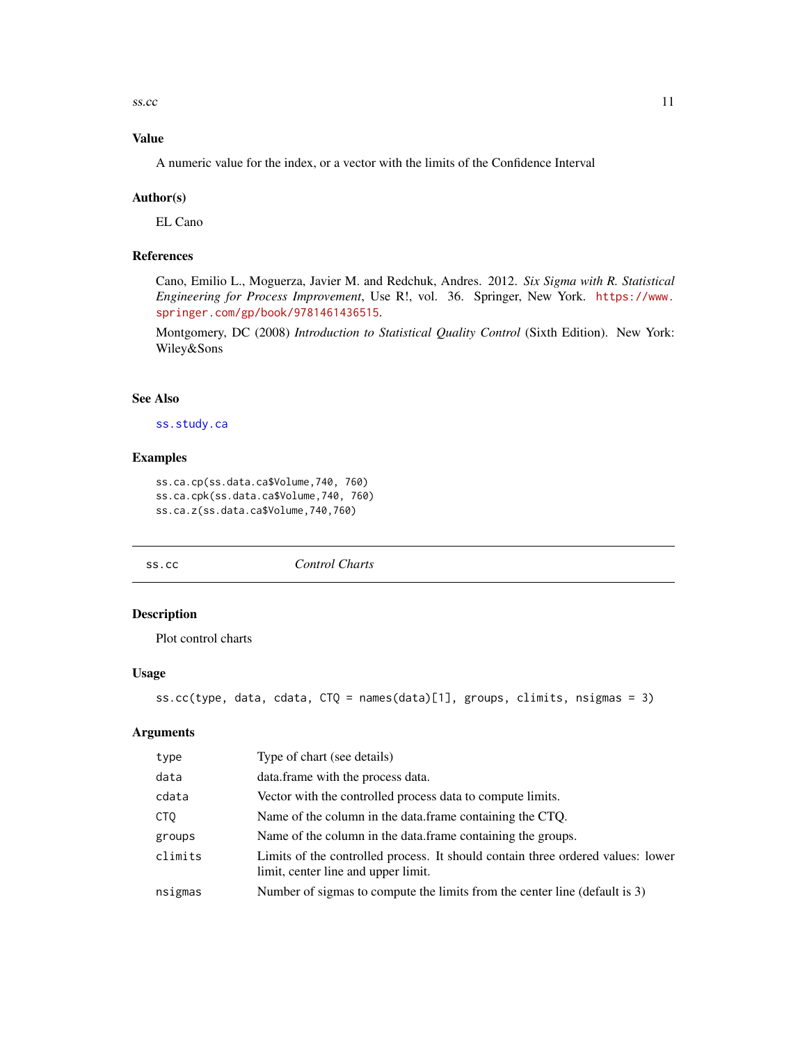<span id="page-10-0"></span> $\frac{11}{11}$ 

### Value

A numeric value for the index, or a vector with the limits of the Confidence Interval

#### Author(s)

EL Cano

### References

Cano, Emilio L., Moguerza, Javier M. and Redchuk, Andres. 2012. *Six Sigma with R. Statistical Engineering for Process Improvement*, Use R!, vol. 36. Springer, New York. [https://www.](https://www.springer.com/gp/book/9781461436515) [springer.com/gp/book/9781461436515](https://www.springer.com/gp/book/9781461436515).

Montgomery, DC (2008) *Introduction to Statistical Quality Control* (Sixth Edition). New York: Wiley&Sons

### See Also

[ss.study.ca](#page-45-1)

#### Examples

```
ss.ca.cp(ss.data.ca$Volume,740, 760)
ss.ca.cpk(ss.data.ca$Volume,740, 760)
ss.ca.z(ss.data.ca$Volume,740,760)
```
ss.cc *Control Charts*

#### Description

Plot control charts

### Usage

```
ss.cc(type, data, cdata, CTQ = names(data)[1], groups, climits, nsigmas = 3)
```
### Arguments

| type    | Type of chart (see details)                                                                                            |
|---------|------------------------------------------------------------------------------------------------------------------------|
| data    | data.frame with the process data.                                                                                      |
| cdata   | Vector with the controlled process data to compute limits.                                                             |
| CTQ     | Name of the column in the data.frame containing the CTQ.                                                               |
| groups  | Name of the column in the data. frame containing the groups.                                                           |
| climits | Limits of the controlled process. It should contain three ordered values: lower<br>limit, center line and upper limit. |
| nsigmas | Number of sigmas to compute the limits from the center line (default is 3)                                             |
|         |                                                                                                                        |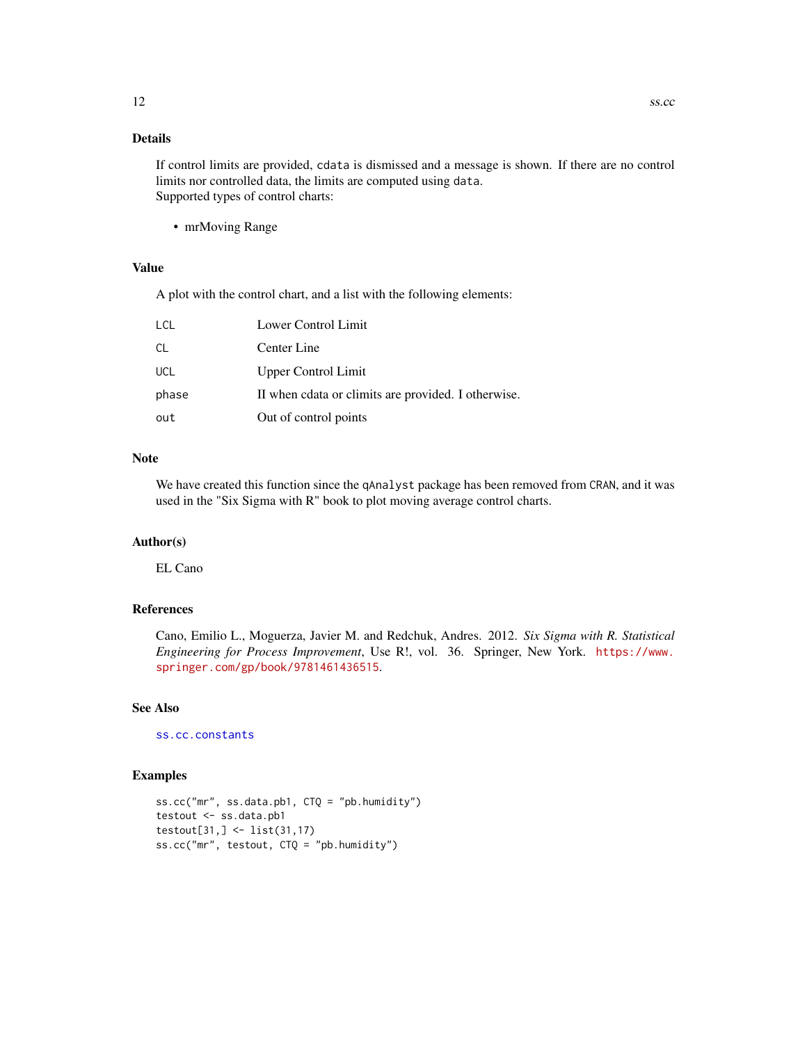### <span id="page-11-0"></span>Details

If control limits are provided, cdata is dismissed and a message is shown. If there are no control limits nor controlled data, the limits are computed using data. Supported types of control charts:

• mrMoving Range

### Value

A plot with the control chart, and a list with the following elements:

| LCL        | Lower Control Limit                                 |
|------------|-----------------------------------------------------|
| <b>CL</b>  | Center Line                                         |
| <b>UCL</b> | <b>Upper Control Limit</b>                          |
| phase      | II when cdata or climits are provided. I otherwise. |
| out        | Out of control points                               |

#### Note

We have created this function since the qAnalyst package has been removed from CRAN, and it was used in the "Six Sigma with R" book to plot moving average control charts.

### Author(s)

EL Cano

### References

Cano, Emilio L., Moguerza, Javier M. and Redchuk, Andres. 2012. *Six Sigma with R. Statistical Engineering for Process Improvement*, Use R!, vol. 36. Springer, New York. [https://www.](https://www.springer.com/gp/book/9781461436515) [springer.com/gp/book/9781461436515](https://www.springer.com/gp/book/9781461436515).

### See Also

[ss.cc.constants](#page-12-1)

```
ss.cc("mr", ss.data.pb1, CTQ = "pb.humidity")
testout <- ss.data.pb1
testout[31,] <- list(31,17)
ss.cc("mr", testout, CTQ = "pb.humidity")
```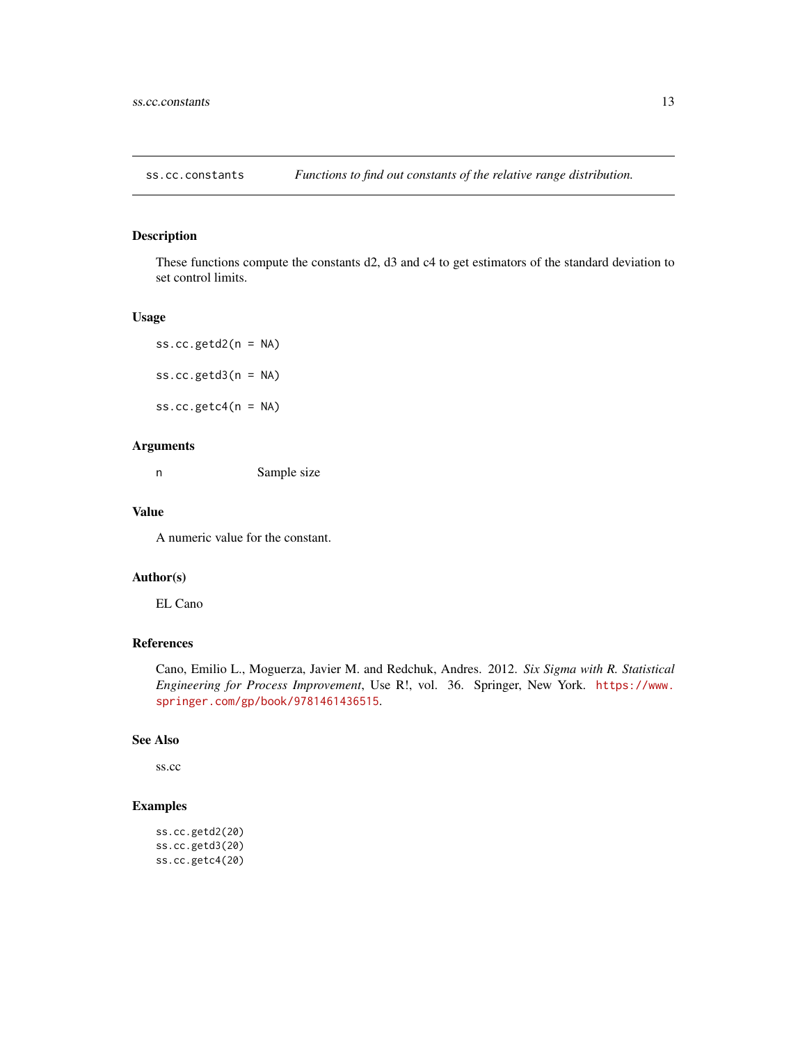<span id="page-12-1"></span><span id="page-12-0"></span>

These functions compute the constants d2, d3 and c4 to get estimators of the standard deviation to set control limits.

#### Usage

ss.cc.getd $2(n = NA)$ ss.cc.getd $3(n = NA)$ ss.cc.getc4(n = NA)

### Arguments

n Sample size

#### Value

A numeric value for the constant.

#### Author(s)

EL Cano

### References

Cano, Emilio L., Moguerza, Javier M. and Redchuk, Andres. 2012. *Six Sigma with R. Statistical Engineering for Process Improvement*, Use R!, vol. 36. Springer, New York. [https://www.](https://www.springer.com/gp/book/9781461436515) [springer.com/gp/book/9781461436515](https://www.springer.com/gp/book/9781461436515).

#### See Also

ss.cc

```
ss.cc.getd2(20)
ss.cc.getd3(20)
ss.cc.getc4(20)
```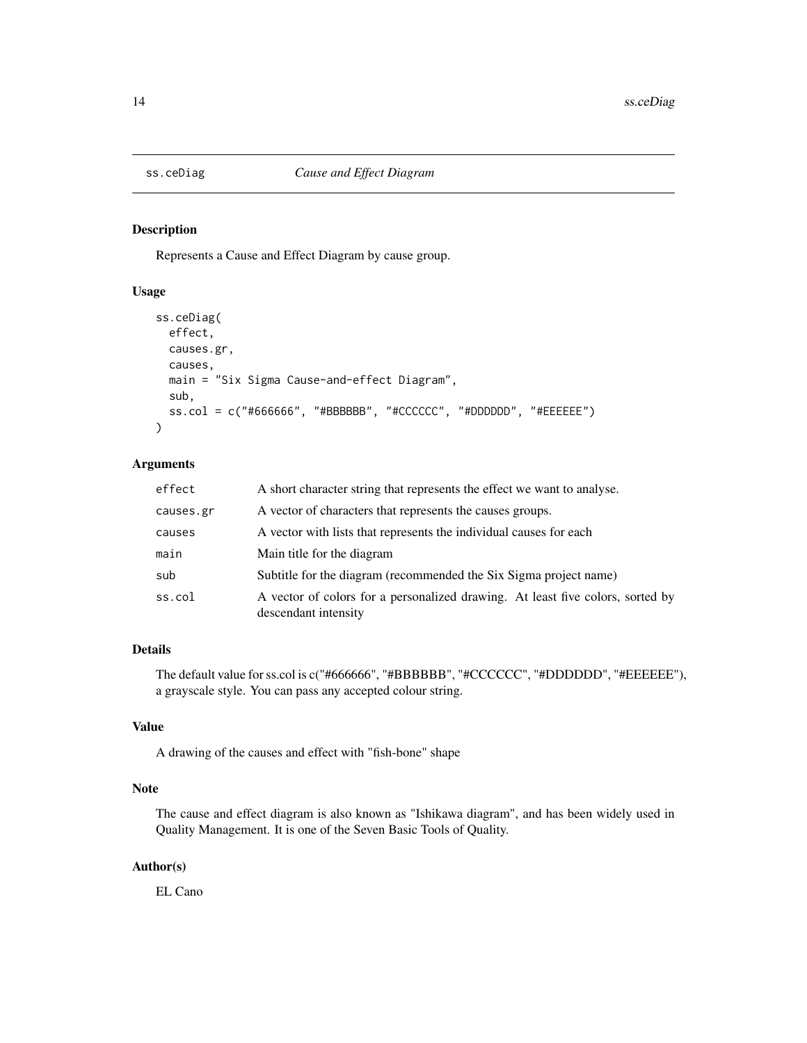<span id="page-13-1"></span><span id="page-13-0"></span>

Represents a Cause and Effect Diagram by cause group.

### Usage

```
ss.ceDiag(
  effect,
 causes.gr,
 causes,
 main = "Six Sigma Cause-and-effect Diagram",
  sub,
  ss.col = c("#666666", "#BBBBBB", "#CCCCCC", "#DDDDDD", "#EEEEEE")
)
```
### Arguments

| effect    | A short character string that represents the effect we want to analyse.                                |
|-----------|--------------------------------------------------------------------------------------------------------|
| causes.gr | A vector of characters that represents the causes groups.                                              |
| causes    | A vector with lists that represents the individual causes for each                                     |
| main      | Main title for the diagram                                                                             |
| sub       | Subtitle for the diagram (recommended the Six Sigma project name)                                      |
| ss.col    | A vector of colors for a personalized drawing. At least five colors, sorted by<br>descendant intensity |

### Details

The default value for ss.col is c("#666666", "#BBBBBB", "#CCCCCC", "#DDDDDD", "#EEEEEE"), a grayscale style. You can pass any accepted colour string.

### Value

A drawing of the causes and effect with "fish-bone" shape

### Note

The cause and effect diagram is also known as "Ishikawa diagram", and has been widely used in Quality Management. It is one of the Seven Basic Tools of Quality.

### Author(s)

EL Cano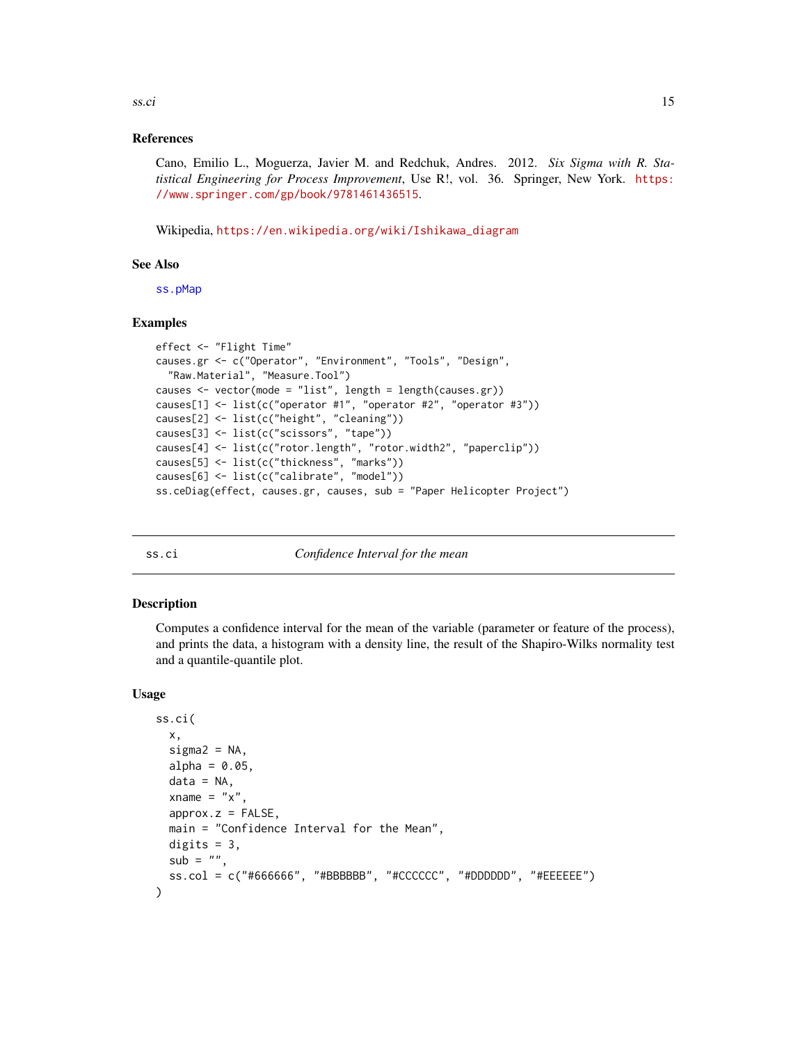<span id="page-14-0"></span> $\frac{\text{ss.}\, \text{c}i}{\text{ss.}\, \text{c}i}$  15

#### References

Cano, Emilio L., Moguerza, Javier M. and Redchuk, Andres. 2012. *Six Sigma with R. Statistical Engineering for Process Improvement*, Use R!, vol. 36. Springer, New York. [https:](https://www.springer.com/gp/book/9781461436515) [//www.springer.com/gp/book/9781461436515](https://www.springer.com/gp/book/9781461436515).

Wikipedia, [https://en.wikipedia.org/wiki/Ishikawa\\_diagram](https://en.wikipedia.org/wiki/Ishikawa_diagram)

#### See Also

[ss.pMap](#page-40-1)

### Examples

```
effect <- "Flight Time"
causes.gr <- c("Operator", "Environment", "Tools", "Design",
  "Raw.Material", "Measure.Tool")
causes <- vector(mode = "list", length = length(causes.gr))
causes[1] <- list(c("operator #1", "operator #2", "operator #3"))
causes[2] <- list(c("height", "cleaning"))
causes[3] <- list(c("scissors", "tape"))
causes[4] <- list(c("rotor.length", "rotor.width2", "paperclip"))
causes[5] <- list(c("thickness", "marks"))
causes[6] <- list(c("calibrate", "model"))
ss.ceDiag(effect, causes.gr, causes, sub = "Paper Helicopter Project")
```
<span id="page-14-1"></span>ss.ci *Confidence Interval for the mean*

#### Description

Computes a confidence interval for the mean of the variable (parameter or feature of the process), and prints the data, a histogram with a density line, the result of the Shapiro-Wilks normality test and a quantile-quantile plot.

#### Usage

```
ss.ci(
 x,
  signa2 = NA,
  alpha = 0.05,
  data = NA,
  xname = "x",
  approx.z = FALSE,
 main = "Confidence Interval for the Mean",
 digits = 3,
  sub = "",ss.col = c("#666666", "#BBBBBB", "#CCCCCC", "#DDDDDD", "#EEEEEE")
)
```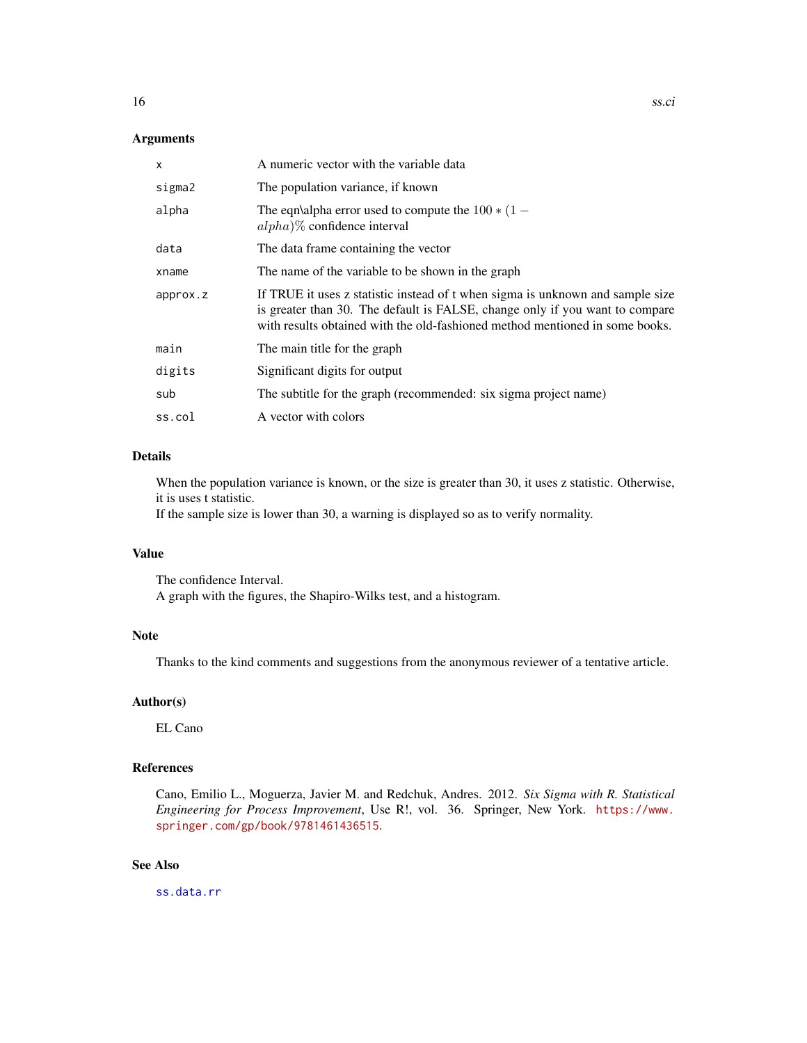### <span id="page-15-0"></span>Arguments

| X        | A numeric vector with the variable data                                                                                                                                                                                                        |
|----------|------------------------------------------------------------------------------------------------------------------------------------------------------------------------------------------------------------------------------------------------|
| sigma2   | The population variance, if known                                                                                                                                                                                                              |
| alpha    | The eqn\alpha error used to compute the $100 * (1 -$<br>$alpha$ )% confidence interval                                                                                                                                                         |
| data     | The data frame containing the vector                                                                                                                                                                                                           |
| xname    | The name of the variable to be shown in the graph                                                                                                                                                                                              |
| approx.z | If TRUE it uses z statistic instead of t when sigma is unknown and sample size<br>is greater than 30. The default is FALSE, change only if you want to compare<br>with results obtained with the old-fashioned method mentioned in some books. |
| main     | The main title for the graph                                                                                                                                                                                                                   |
| digits   | Significant digits for output                                                                                                                                                                                                                  |
| sub      | The subtitle for the graph (recommended: six sigma project name)                                                                                                                                                                               |
| ss.col   | A vector with colors                                                                                                                                                                                                                           |

### Details

When the population variance is known, or the size is greater than 30, it uses z statistic. Otherwise, it is uses t statistic.

If the sample size is lower than 30, a warning is displayed so as to verify normality.

### Value

The confidence Interval. A graph with the figures, the Shapiro-Wilks test, and a histogram.

#### Note

Thanks to the kind comments and suggestions from the anonymous reviewer of a tentative article.

### Author(s)

EL Cano

### References

Cano, Emilio L., Moguerza, Javier M. and Redchuk, Andres. 2012. *Six Sigma with R. Statistical Engineering for Process Improvement*, Use R!, vol. 36. Springer, New York. [https://www.](https://www.springer.com/gp/book/9781461436515) [springer.com/gp/book/9781461436515](https://www.springer.com/gp/book/9781461436515).

### See Also

[ss.data.rr](#page-31-1)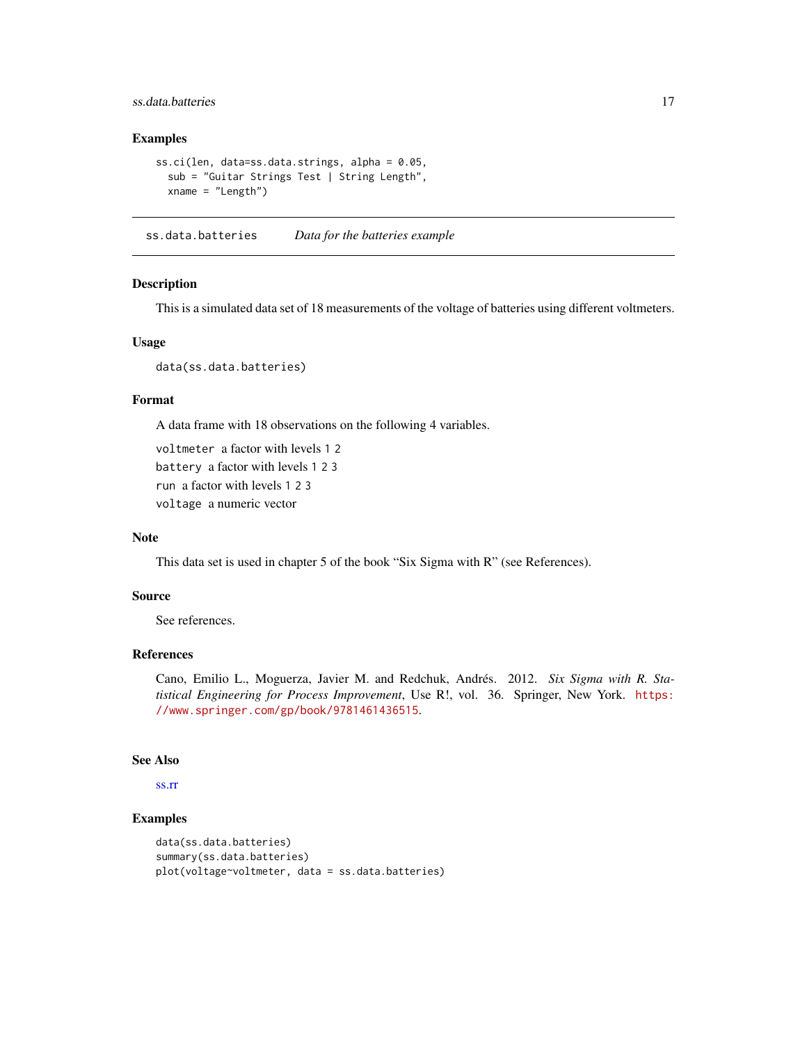### <span id="page-16-0"></span>ss.data.batteries 17

#### Examples

```
ss.ci(len, data=ss.data.strings, alpha = 0.05,
 sub = "Guitar Strings Test | String Length",
 xname = "Length")
```
ss.data.batteries *Data for the batteries example*

#### Description

This is a simulated data set of 18 measurements of the voltage of batteries using different voltmeters.

#### Usage

data(ss.data.batteries)

### Format

A data frame with 18 observations on the following 4 variables.

voltmeter a factor with levels 1 2 battery a factor with levels 1 2 3 run a factor with levels 1 2 3 voltage a numeric vector

#### Note

This data set is used in chapter 5 of the book "Six Sigma with R" (see References).

### Source

See references.

### References

Cano, Emilio L., Moguerza, Javier M. and Redchuk, Andrés. 2012. *Six Sigma with R. Statistical Engineering for Process Improvement*, Use R!, vol. 36. Springer, New York. [https:](https://www.springer.com/gp/book/9781461436515) [//www.springer.com/gp/book/9781461436515](https://www.springer.com/gp/book/9781461436515).

### See Also

[ss.rr](#page-42-1)

```
data(ss.data.batteries)
summary(ss.data.batteries)
plot(voltage~voltmeter, data = ss.data.batteries)
```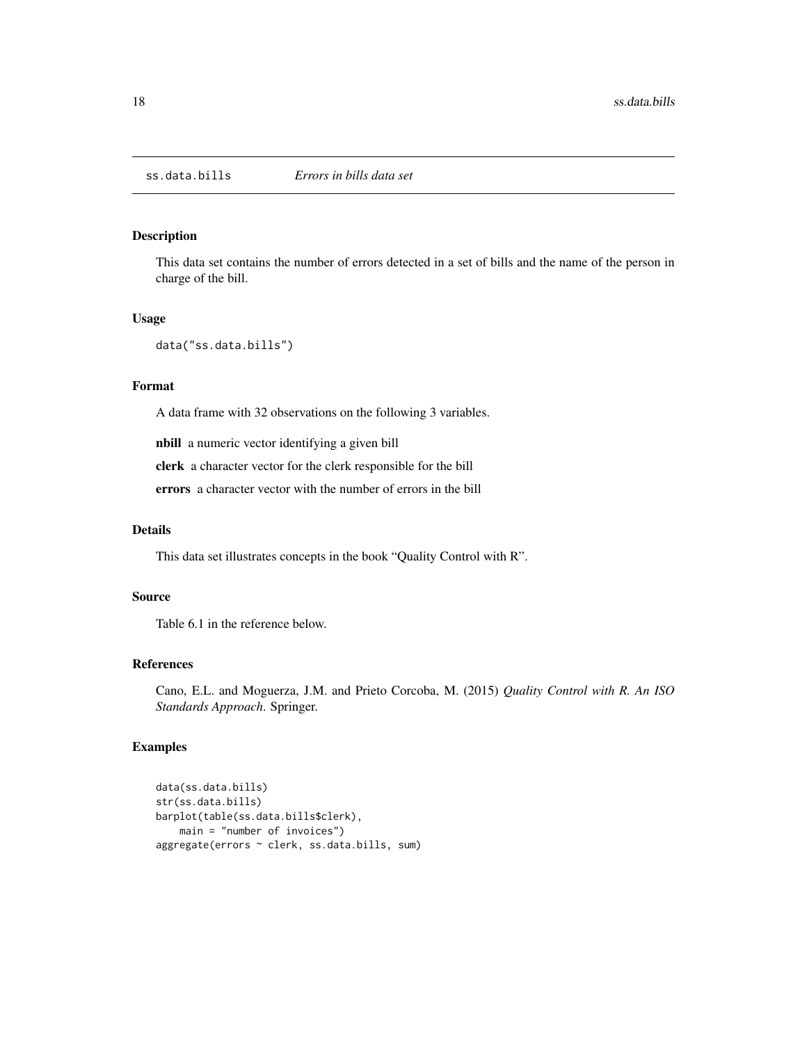<span id="page-17-0"></span>This data set contains the number of errors detected in a set of bills and the name of the person in charge of the bill.

#### Usage

```
data("ss.data.bills")
```
### Format

A data frame with 32 observations on the following 3 variables.

nbill a numeric vector identifying a given bill

clerk a character vector for the clerk responsible for the bill

errors a character vector with the number of errors in the bill

### Details

This data set illustrates concepts in the book "Quality Control with R".

#### Source

Table 6.1 in the reference below.

#### References

Cano, E.L. and Moguerza, J.M. and Prieto Corcoba, M. (2015) *Quality Control with R. An ISO Standards Approach*. Springer.

```
data(ss.data.bills)
str(ss.data.bills)
barplot(table(ss.data.bills$clerk),
   main = "number of invoices")
aggregate(errors ~ clerk, ss.data.bills, sum)
```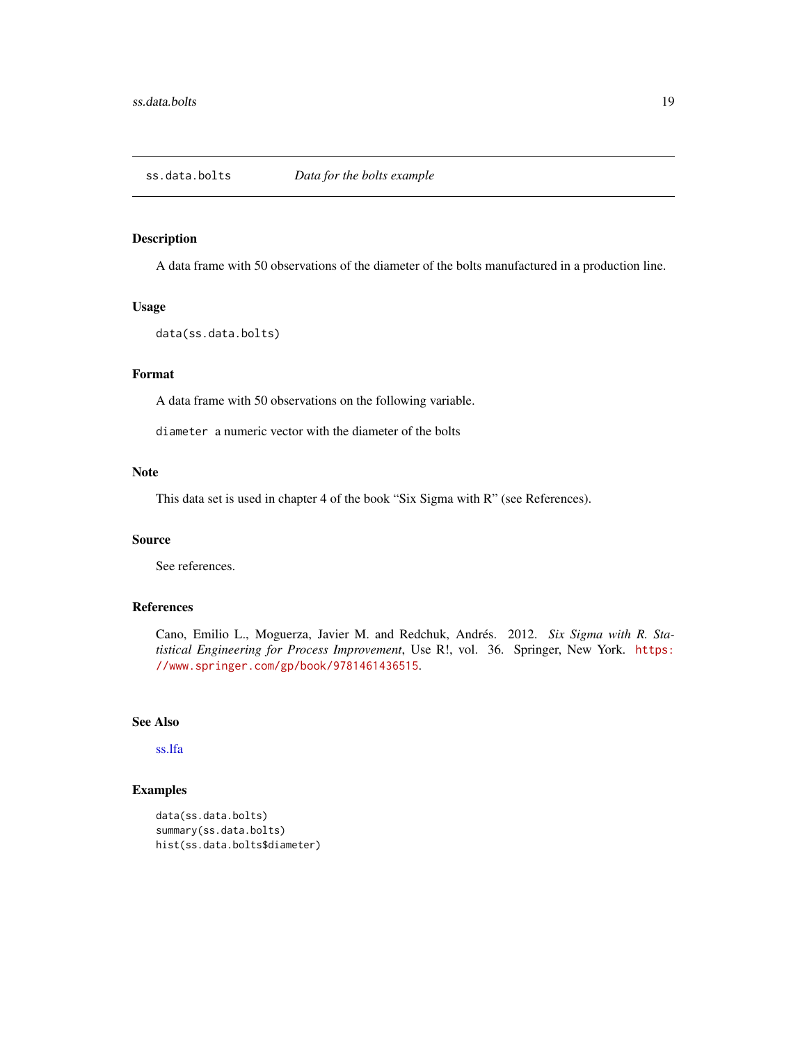<span id="page-18-1"></span><span id="page-18-0"></span>

A data frame with 50 observations of the diameter of the bolts manufactured in a production line.

#### Usage

```
data(ss.data.bolts)
```
### Format

A data frame with 50 observations on the following variable.

diameter a numeric vector with the diameter of the bolts

#### Note

This data set is used in chapter 4 of the book "Six Sigma with R" (see References).

### Source

See references.

### References

Cano, Emilio L., Moguerza, Javier M. and Redchuk, Andrés. 2012. *Six Sigma with R. Statistical Engineering for Process Improvement*, Use R!, vol. 36. Springer, New York. [https:](https://www.springer.com/gp/book/9781461436515) [//www.springer.com/gp/book/9781461436515](https://www.springer.com/gp/book/9781461436515).

#### See Also

[ss.lfa](#page-39-1)

```
data(ss.data.bolts)
summary(ss.data.bolts)
hist(ss.data.bolts$diameter)
```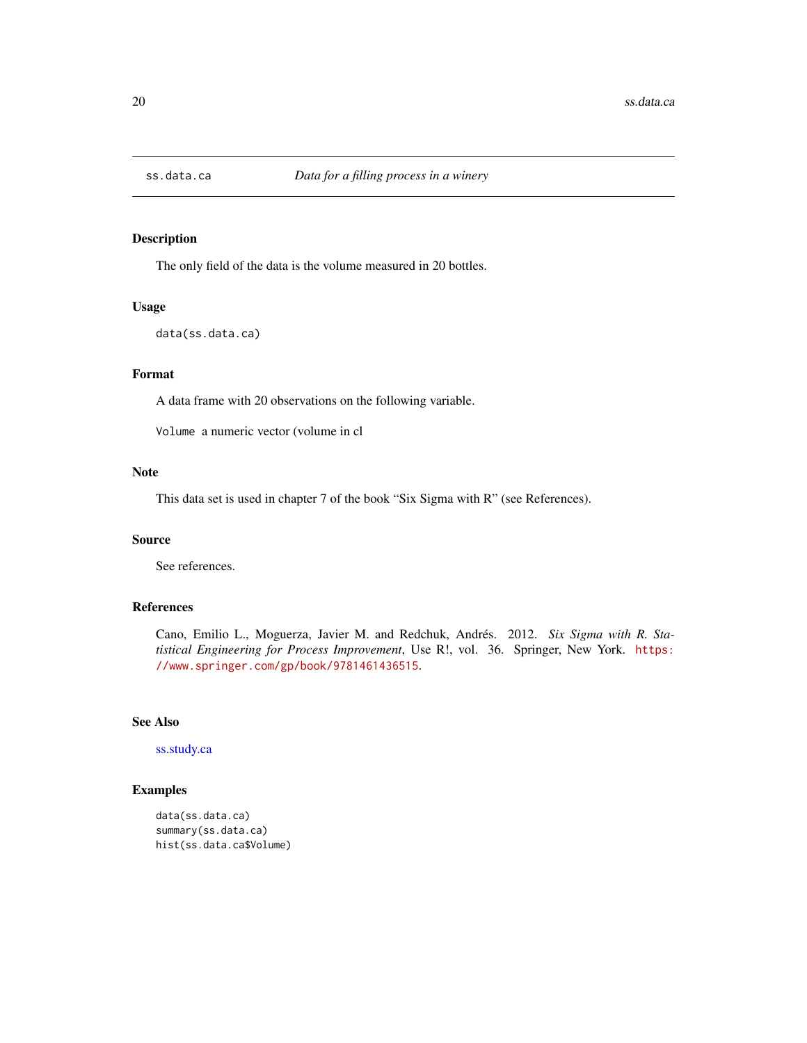<span id="page-19-0"></span>

The only field of the data is the volume measured in 20 bottles.

#### Usage

```
data(ss.data.ca)
```
### Format

A data frame with 20 observations on the following variable.

Volume a numeric vector (volume in cl

#### Note

This data set is used in chapter 7 of the book "Six Sigma with R" (see References).

### Source

See references.

### References

Cano, Emilio L., Moguerza, Javier M. and Redchuk, Andrés. 2012. *Six Sigma with R. Statistical Engineering for Process Improvement*, Use R!, vol. 36. Springer, New York. [https:](https://www.springer.com/gp/book/9781461436515) [//www.springer.com/gp/book/9781461436515](https://www.springer.com/gp/book/9781461436515).

#### See Also

[ss.study.ca](#page-45-1)

```
data(ss.data.ca)
summary(ss.data.ca)
hist(ss.data.ca$Volume)
```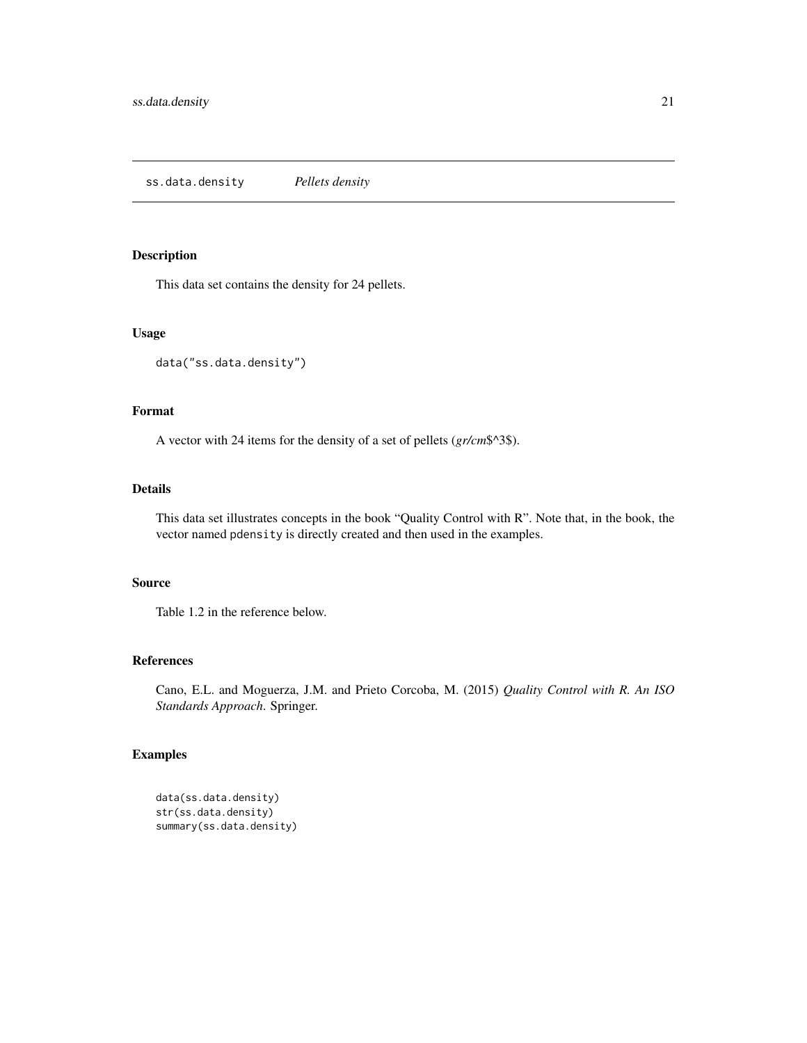<span id="page-20-0"></span>This data set contains the density for 24 pellets.

### Usage

data("ss.data.density")

### Format

A vector with 24 items for the density of a set of pellets (*gr/cm*\$^3\$).

### Details

This data set illustrates concepts in the book "Quality Control with R". Note that, in the book, the vector named pdensity is directly created and then used in the examples.

### Source

Table 1.2 in the reference below.

#### References

Cano, E.L. and Moguerza, J.M. and Prieto Corcoba, M. (2015) *Quality Control with R. An ISO Standards Approach*. Springer.

```
data(ss.data.density)
str(ss.data.density)
summary(ss.data.density)
```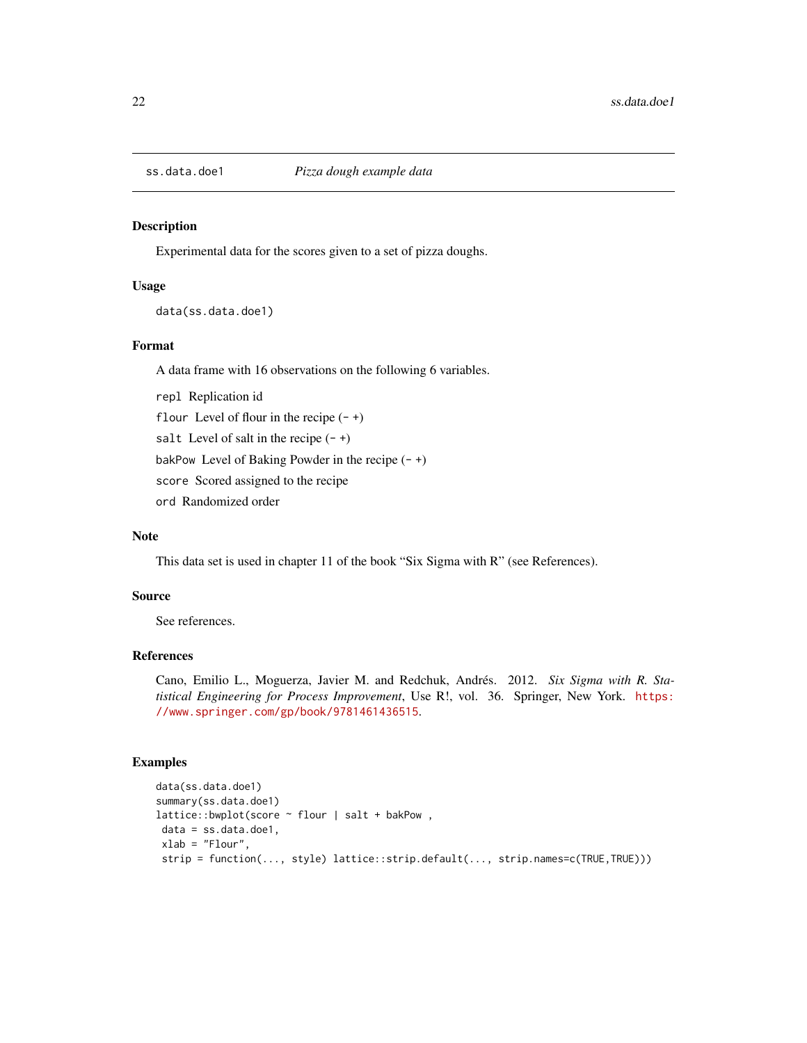<span id="page-21-0"></span>

Experimental data for the scores given to a set of pizza doughs.

#### Usage

data(ss.data.doe1)

### Format

A data frame with 16 observations on the following 6 variables.

repl Replication id

flour Level of flour in the recipe  $(-+)$ 

salt Level of salt in the recipe  $(-+)$ 

bakPow Level of Baking Powder in the recipe  $(-+)$ 

score Scored assigned to the recipe

ord Randomized order

#### Note

This data set is used in chapter 11 of the book "Six Sigma with R" (see References).

### Source

See references.

### References

Cano, Emilio L., Moguerza, Javier M. and Redchuk, Andrés. 2012. *Six Sigma with R. Statistical Engineering for Process Improvement*, Use R!, vol. 36. Springer, New York. [https:](https://www.springer.com/gp/book/9781461436515) [//www.springer.com/gp/book/9781461436515](https://www.springer.com/gp/book/9781461436515).

```
data(ss.data.doe1)
summary(ss.data.doe1)
lattice::bwplot(score ~ flour | salt + bakPow ,
data = ss.data.doe1,
xlab = "Flour",
strip = function(..., style) lattice::strip.default(..., strip.names=c(TRUE,TRUE)))
```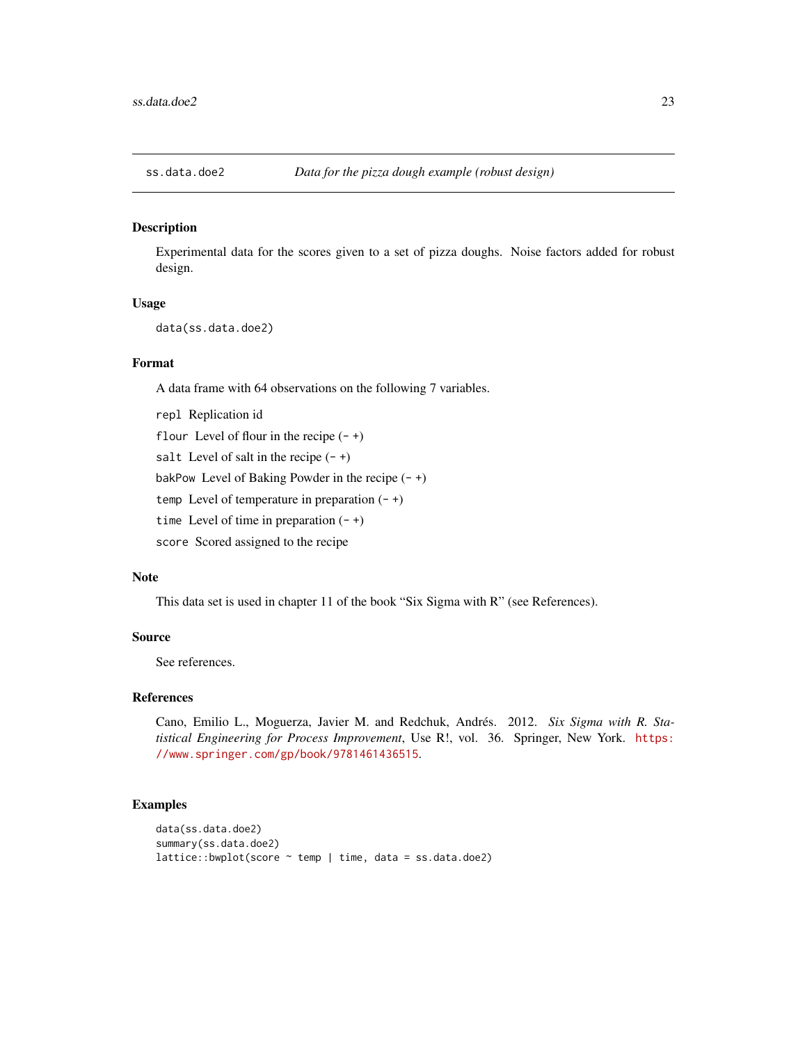<span id="page-22-0"></span>

Experimental data for the scores given to a set of pizza doughs. Noise factors added for robust design.

### Usage

data(ss.data.doe2)

### Format

A data frame with 64 observations on the following 7 variables.

repl Replication id

flour Level of flour in the recipe  $(-+)$ 

salt Level of salt in the recipe  $(-+)$ 

bakPow Level of Baking Powder in the recipe  $(-+)$ 

temp Level of temperature in preparation  $(-+)$ 

time Level of time in preparation  $(-+)$ 

score Scored assigned to the recipe

#### Note

This data set is used in chapter 11 of the book "Six Sigma with R" (see References).

### Source

See references.

#### References

Cano, Emilio L., Moguerza, Javier M. and Redchuk, Andrés. 2012. *Six Sigma with R. Statistical Engineering for Process Improvement*, Use R!, vol. 36. Springer, New York. [https:](https://www.springer.com/gp/book/9781461436515) [//www.springer.com/gp/book/9781461436515](https://www.springer.com/gp/book/9781461436515).

```
data(ss.data.doe2)
summary(ss.data.doe2)
lattice::bwplot(score ~ temp ~ | time, data = ss.data.doc2)
```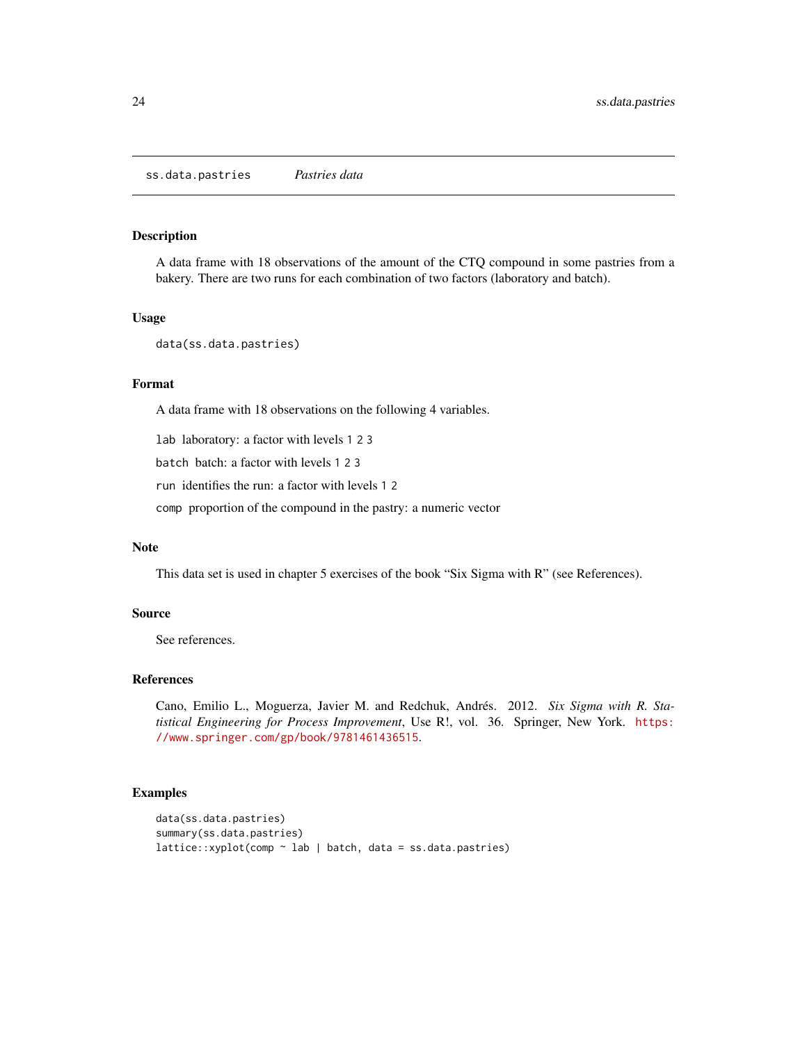<span id="page-23-0"></span>ss.data.pastries *Pastries data*

#### Description

A data frame with 18 observations of the amount of the CTQ compound in some pastries from a bakery. There are two runs for each combination of two factors (laboratory and batch).

### Usage

```
data(ss.data.pastries)
```
### Format

A data frame with 18 observations on the following 4 variables.

lab laboratory: a factor with levels 1 2 3

batch batch: a factor with levels 1 2 3

run identifies the run: a factor with levels 1 2

comp proportion of the compound in the pastry: a numeric vector

#### Note

This data set is used in chapter 5 exercises of the book "Six Sigma with R" (see References).

#### Source

See references.

#### References

Cano, Emilio L., Moguerza, Javier M. and Redchuk, Andrés. 2012. *Six Sigma with R. Statistical Engineering for Process Improvement*, Use R!, vol. 36. Springer, New York. [https:](https://www.springer.com/gp/book/9781461436515) [//www.springer.com/gp/book/9781461436515](https://www.springer.com/gp/book/9781461436515).

```
data(ss.data.pastries)
summary(ss.data.pastries)
lattice::xyplot(comp ~ lab | batch, data = ss.data.pastries)
```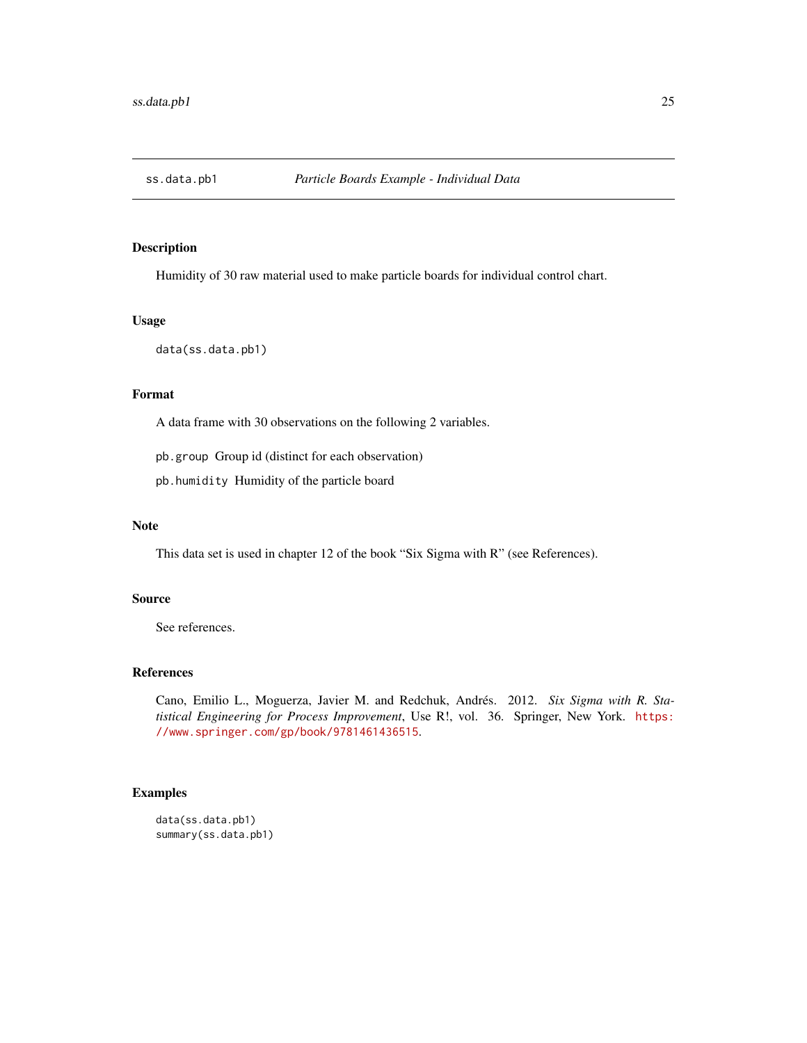<span id="page-24-0"></span>

Humidity of 30 raw material used to make particle boards for individual control chart.

### Usage

data(ss.data.pb1)

### Format

A data frame with 30 observations on the following 2 variables.

pb.group Group id (distinct for each observation)

pb.humidity Humidity of the particle board

### Note

This data set is used in chapter 12 of the book "Six Sigma with R" (see References).

#### Source

See references.

### References

Cano, Emilio L., Moguerza, Javier M. and Redchuk, Andrés. 2012. *Six Sigma with R. Statistical Engineering for Process Improvement*, Use R!, vol. 36. Springer, New York. [https:](https://www.springer.com/gp/book/9781461436515) [//www.springer.com/gp/book/9781461436515](https://www.springer.com/gp/book/9781461436515).

### Examples

data(ss.data.pb1) summary(ss.data.pb1)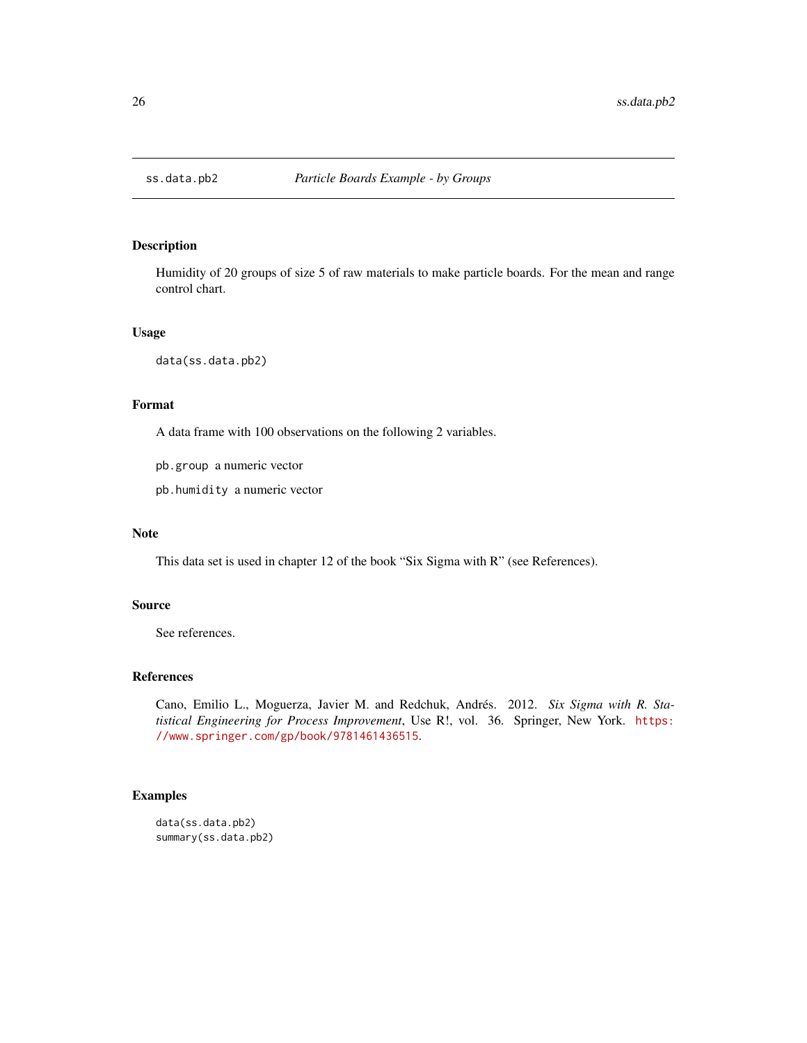<span id="page-25-0"></span>

Humidity of 20 groups of size 5 of raw materials to make particle boards. For the mean and range control chart.

### Usage

data(ss.data.pb2)

### Format

A data frame with 100 observations on the following 2 variables.

pb.group a numeric vector

pb.humidity a numeric vector

#### Note

This data set is used in chapter 12 of the book "Six Sigma with R" (see References).

#### Source

See references.

#### References

Cano, Emilio L., Moguerza, Javier M. and Redchuk, Andrés. 2012. *Six Sigma with R. Statistical Engineering for Process Improvement*, Use R!, vol. 36. Springer, New York. [https:](https://www.springer.com/gp/book/9781461436515) [//www.springer.com/gp/book/9781461436515](https://www.springer.com/gp/book/9781461436515).

### Examples

data(ss.data.pb2) summary(ss.data.pb2)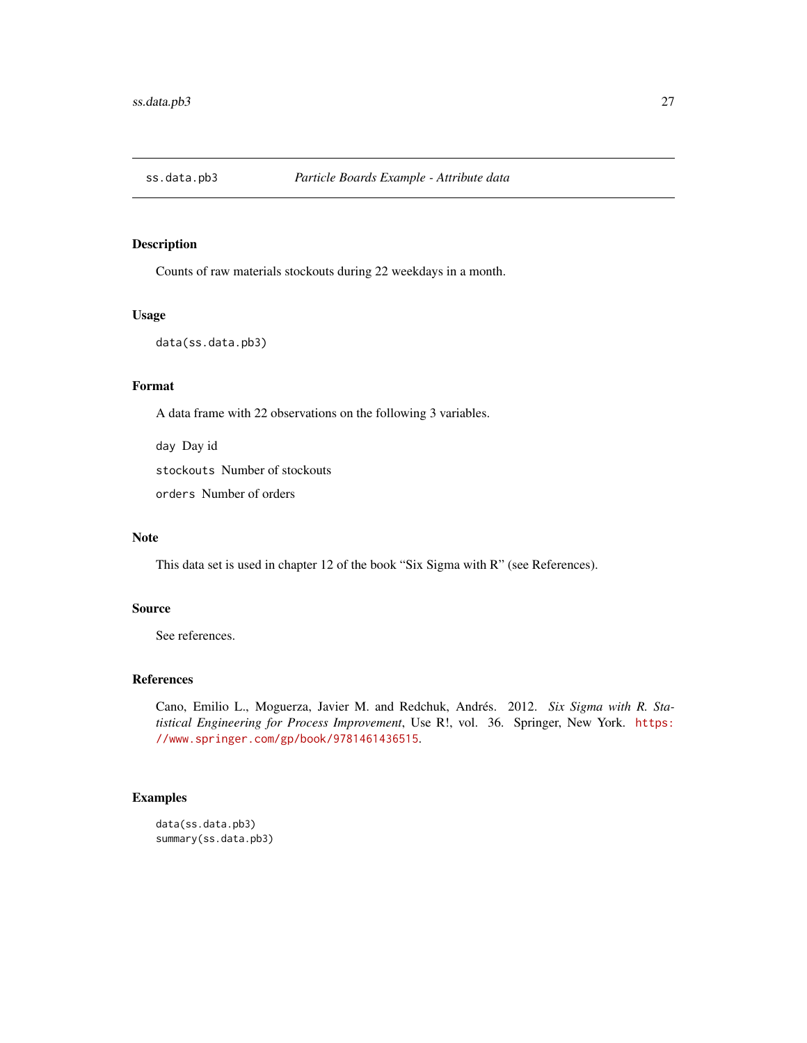<span id="page-26-0"></span>

Counts of raw materials stockouts during 22 weekdays in a month.

#### Usage

```
data(ss.data.pb3)
```
### Format

A data frame with 22 observations on the following 3 variables.

day Day id

stockouts Number of stockouts

orders Number of orders

### Note

This data set is used in chapter 12 of the book "Six Sigma with R" (see References).

### Source

See references.

#### References

Cano, Emilio L., Moguerza, Javier M. and Redchuk, Andrés. 2012. *Six Sigma with R. Statistical Engineering for Process Improvement*, Use R!, vol. 36. Springer, New York. [https:](https://www.springer.com/gp/book/9781461436515) [//www.springer.com/gp/book/9781461436515](https://www.springer.com/gp/book/9781461436515).

### Examples

data(ss.data.pb3) summary(ss.data.pb3)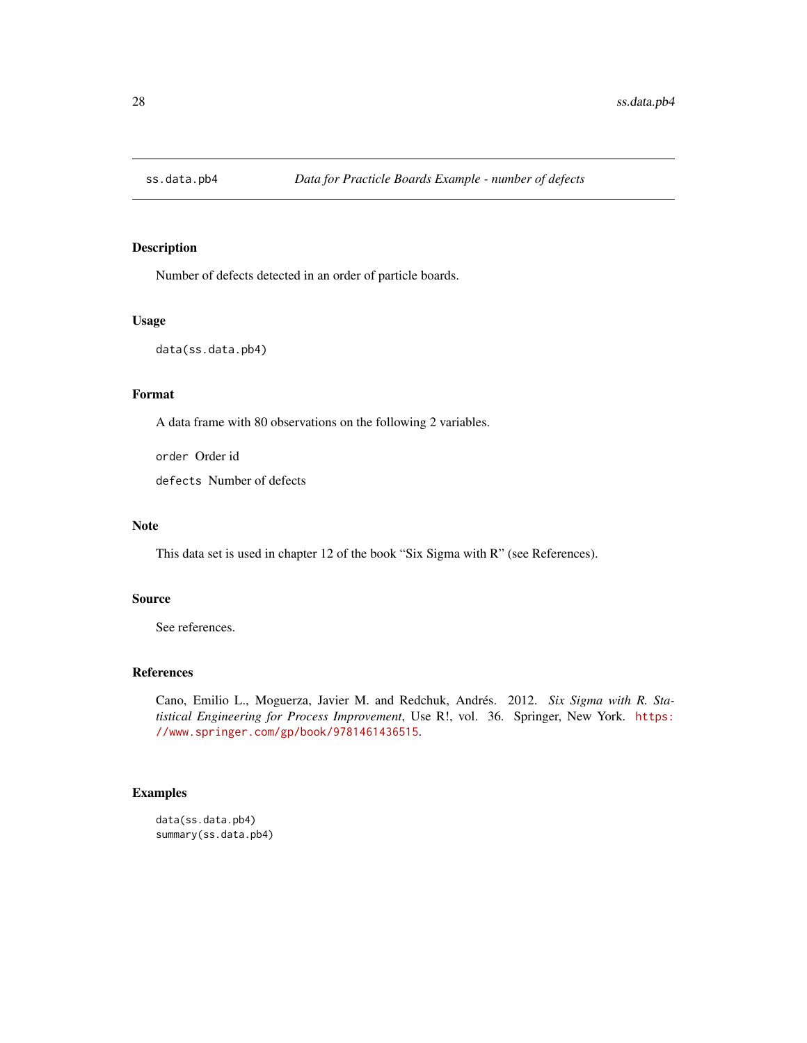<span id="page-27-0"></span>

Number of defects detected in an order of particle boards.

### Usage

data(ss.data.pb4)

### Format

A data frame with 80 observations on the following 2 variables.

order Order id defects Number of defects

### Note

This data set is used in chapter 12 of the book "Six Sigma with R" (see References).

#### Source

See references.

### References

Cano, Emilio L., Moguerza, Javier M. and Redchuk, Andrés. 2012. *Six Sigma with R. Statistical Engineering for Process Improvement*, Use R!, vol. 36. Springer, New York. [https:](https://www.springer.com/gp/book/9781461436515) [//www.springer.com/gp/book/9781461436515](https://www.springer.com/gp/book/9781461436515).

### Examples

data(ss.data.pb4) summary(ss.data.pb4)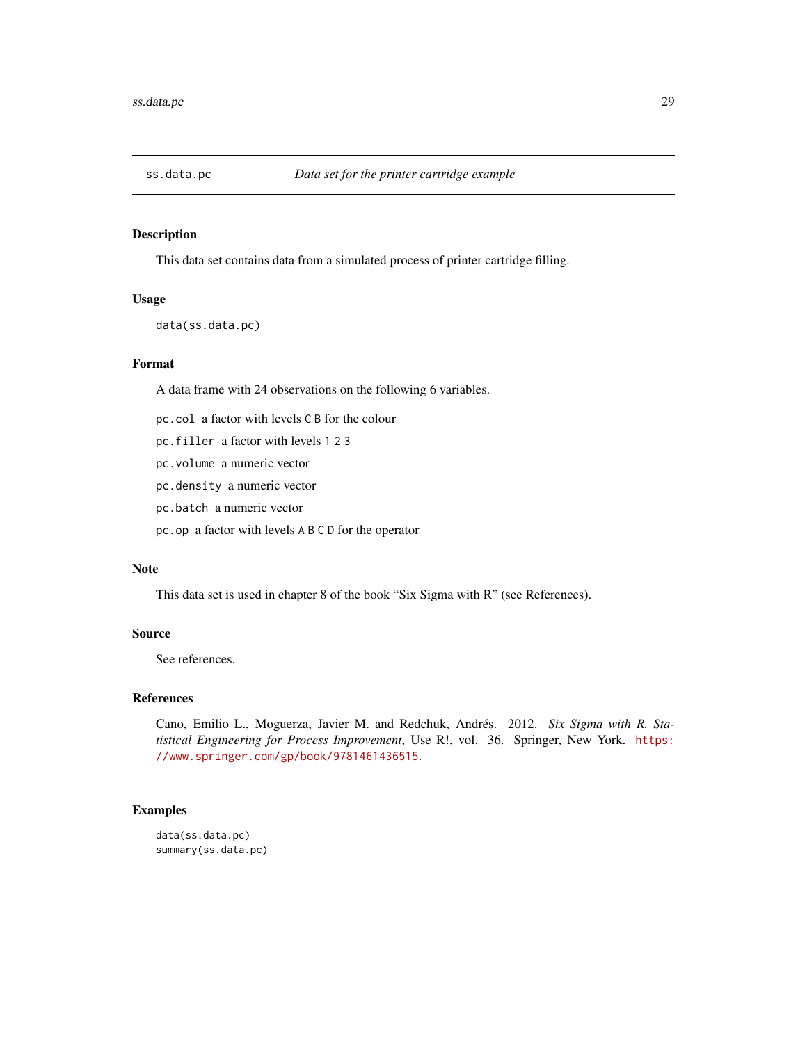<span id="page-28-0"></span>

This data set contains data from a simulated process of printer cartridge filling.

#### Usage

data(ss.data.pc)

### Format

A data frame with 24 observations on the following 6 variables.

pc.col a factor with levels C B for the colour

- pc.filler a factor with levels 1 2 3
- pc.volume a numeric vector
- pc.density a numeric vector
- pc.batch a numeric vector
- pc.op a factor with levels A B C D for the operator

#### Note

This data set is used in chapter 8 of the book "Six Sigma with R" (see References).

#### Source

See references.

#### References

Cano, Emilio L., Moguerza, Javier M. and Redchuk, Andrés. 2012. *Six Sigma with R. Statistical Engineering for Process Improvement*, Use R!, vol. 36. Springer, New York. [https:](https://www.springer.com/gp/book/9781461436515) [//www.springer.com/gp/book/9781461436515](https://www.springer.com/gp/book/9781461436515).

```
data(ss.data.pc)
summary(ss.data.pc)
```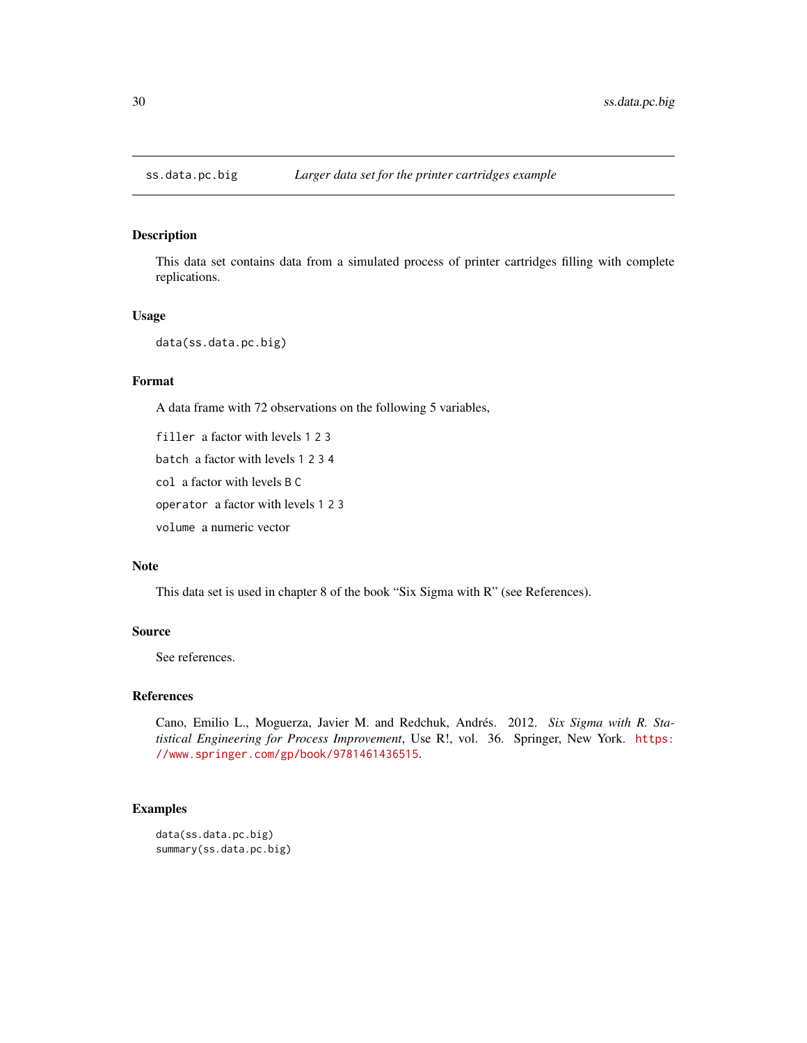<span id="page-29-0"></span>

This data set contains data from a simulated process of printer cartridges filling with complete replications.

#### Usage

```
data(ss.data.pc.big)
```
#### Format

A data frame with 72 observations on the following 5 variables,

filler a factor with levels 1 2 3

batch a factor with levels 1 2 3 4

col a factor with levels B C

operator a factor with levels 1 2 3

volume a numeric vector

### Note

This data set is used in chapter 8 of the book "Six Sigma with R" (see References).

#### Source

See references.

#### References

Cano, Emilio L., Moguerza, Javier M. and Redchuk, Andrés. 2012. *Six Sigma with R. Statistical Engineering for Process Improvement*, Use R!, vol. 36. Springer, New York. [https:](https://www.springer.com/gp/book/9781461436515) [//www.springer.com/gp/book/9781461436515](https://www.springer.com/gp/book/9781461436515).

```
data(ss.data.pc.big)
summary(ss.data.pc.big)
```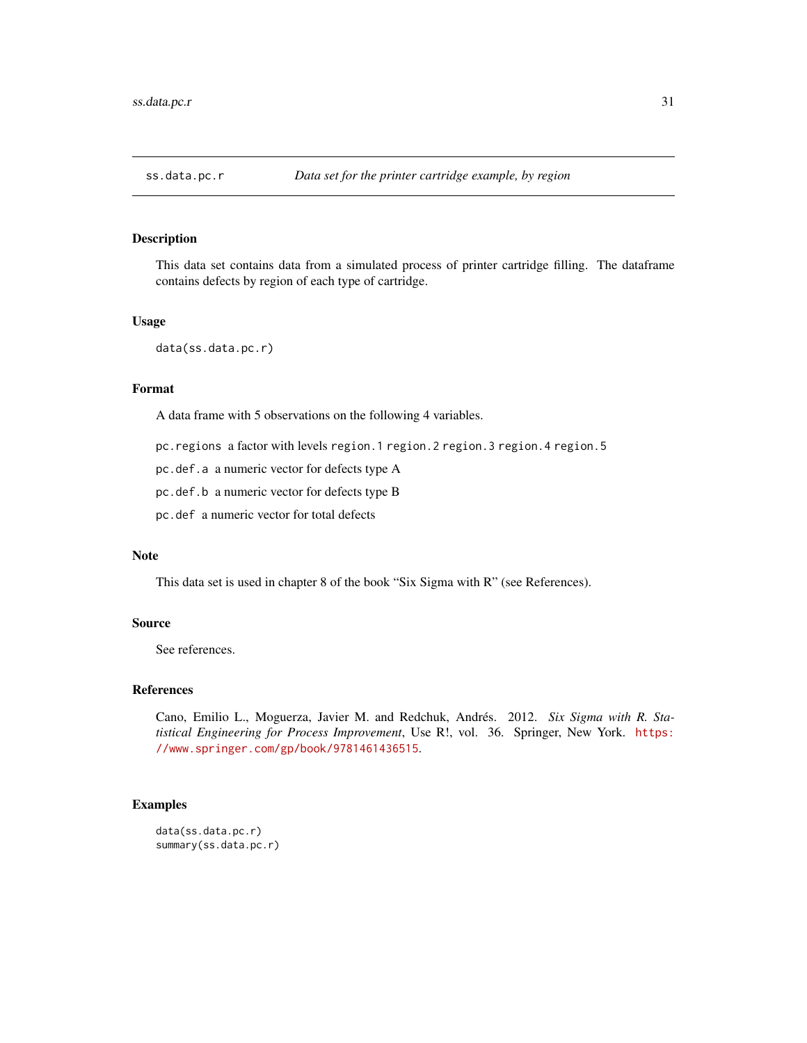<span id="page-30-0"></span>

This data set contains data from a simulated process of printer cartridge filling. The dataframe contains defects by region of each type of cartridge.

#### Usage

data(ss.data.pc.r)

#### Format

A data frame with 5 observations on the following 4 variables.

pc.regions a factor with levels region.1 region.2 region.3 region.4 region.5

pc.def.a a numeric vector for defects type A

pc.def.b a numeric vector for defects type B

pc.def a numeric vector for total defects

#### Note

This data set is used in chapter 8 of the book "Six Sigma with R" (see References).

### Source

See references.

#### References

Cano, Emilio L., Moguerza, Javier M. and Redchuk, Andrés. 2012. *Six Sigma with R. Statistical Engineering for Process Improvement*, Use R!, vol. 36. Springer, New York. [https:](https://www.springer.com/gp/book/9781461436515) [//www.springer.com/gp/book/9781461436515](https://www.springer.com/gp/book/9781461436515).

### Examples

data(ss.data.pc.r) summary(ss.data.pc.r)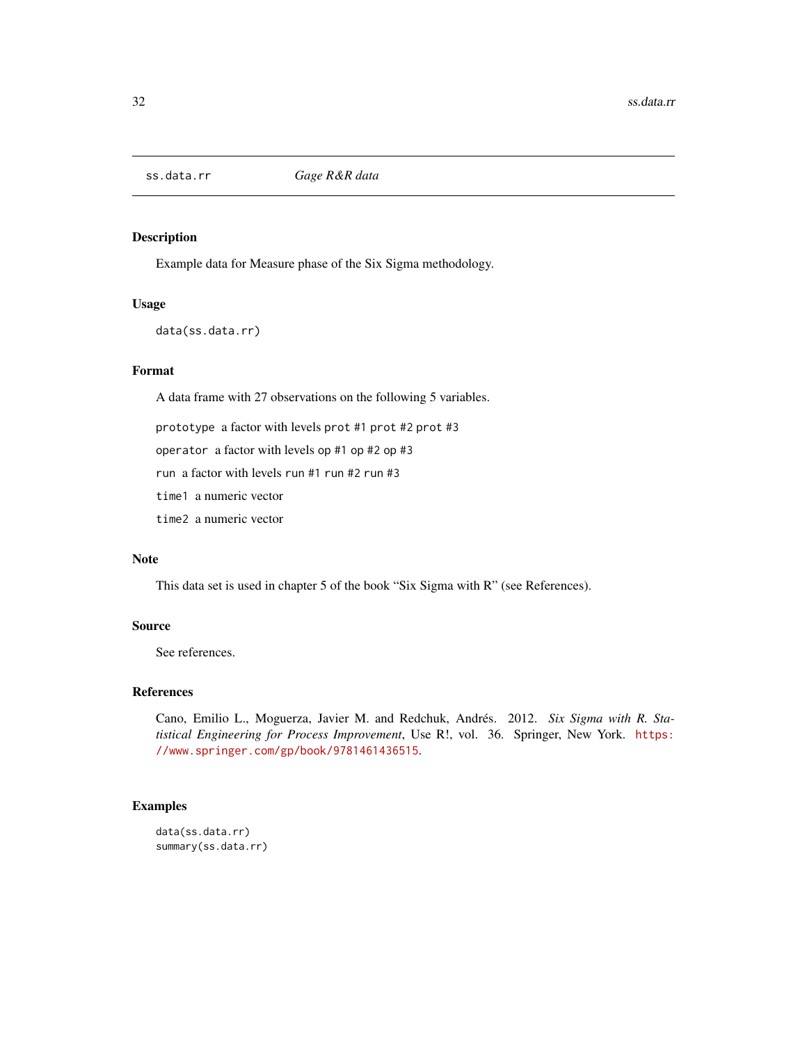<span id="page-31-1"></span><span id="page-31-0"></span>

Example data for Measure phase of the Six Sigma methodology.

### Usage

data(ss.data.rr)

### Format

A data frame with 27 observations on the following 5 variables.

prototype a factor with levels prot #1 prot #2 prot #3

operator a factor with levels op #1 op #2 op #3

run a factor with levels run #1 run #2 run #3

time1 a numeric vector

time2 a numeric vector

### Note

This data set is used in chapter 5 of the book "Six Sigma with R" (see References).

#### Source

See references.

#### References

Cano, Emilio L., Moguerza, Javier M. and Redchuk, Andrés. 2012. *Six Sigma with R. Statistical Engineering for Process Improvement*, Use R!, vol. 36. Springer, New York. [https:](https://www.springer.com/gp/book/9781461436515) [//www.springer.com/gp/book/9781461436515](https://www.springer.com/gp/book/9781461436515).

```
data(ss.data.rr)
summary(ss.data.rr)
```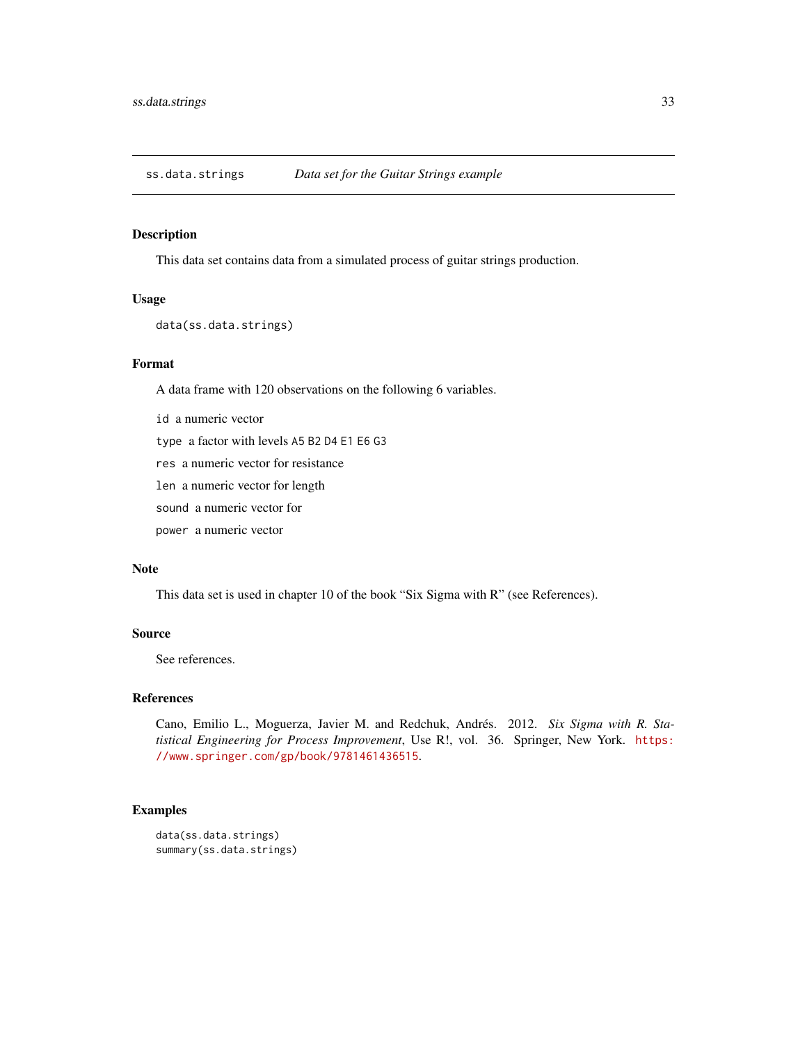<span id="page-32-0"></span>ss.data.strings *Data set for the Guitar Strings example*

#### Description

This data set contains data from a simulated process of guitar strings production.

#### Usage

```
data(ss.data.strings)
```
### Format

A data frame with 120 observations on the following 6 variables.

id a numeric vector

type a factor with levels A5 B2 D4 E1 E6 G3

res a numeric vector for resistance

len a numeric vector for length

sound a numeric vector for

power a numeric vector

#### Note

This data set is used in chapter 10 of the book "Six Sigma with R" (see References).

### Source

See references.

#### References

Cano, Emilio L., Moguerza, Javier M. and Redchuk, Andrés. 2012. *Six Sigma with R. Statistical Engineering for Process Improvement*, Use R!, vol. 36. Springer, New York. [https:](https://www.springer.com/gp/book/9781461436515) [//www.springer.com/gp/book/9781461436515](https://www.springer.com/gp/book/9781461436515).

```
data(ss.data.strings)
summary(ss.data.strings)
```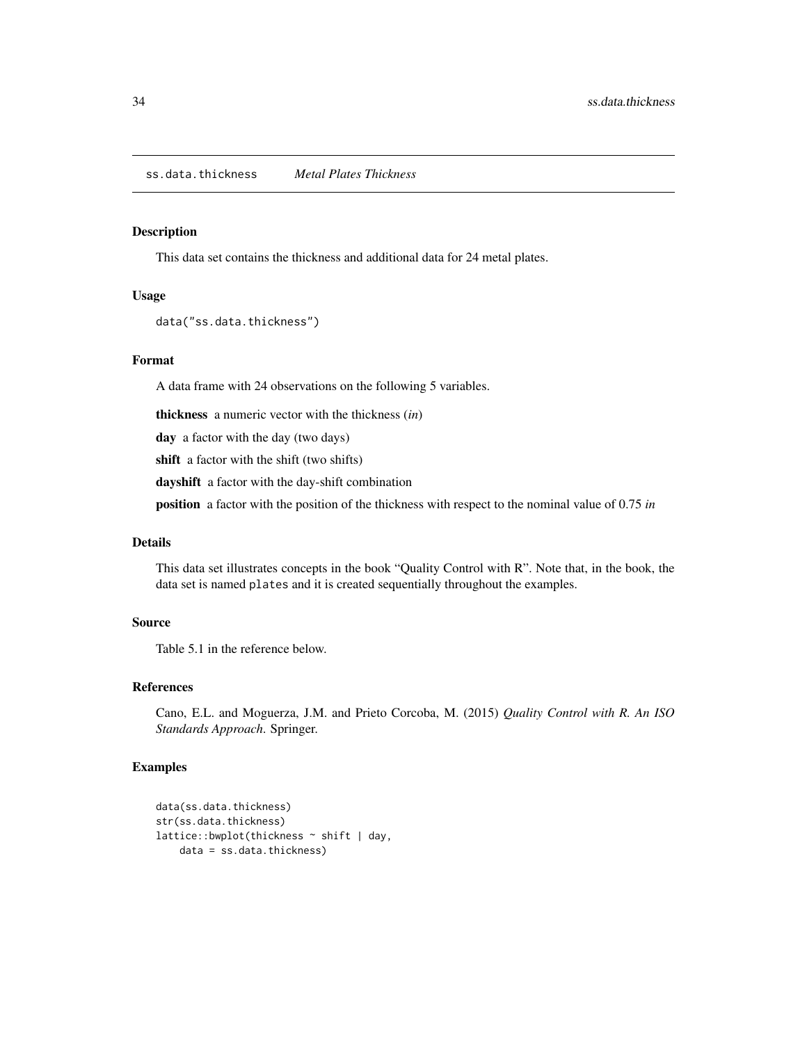<span id="page-33-0"></span>This data set contains the thickness and additional data for 24 metal plates.

### Usage

```
data("ss.data.thickness")
```
#### Format

A data frame with 24 observations on the following 5 variables.

thickness a numeric vector with the thickness (*in*)

day a factor with the day (two days)

shift a factor with the shift (two shifts)

dayshift a factor with the day-shift combination

position a factor with the position of the thickness with respect to the nominal value of 0.75 *in*

### Details

This data set illustrates concepts in the book "Quality Control with R". Note that, in the book, the data set is named plates and it is created sequentially throughout the examples.

### Source

Table 5.1 in the reference below.

### References

Cano, E.L. and Moguerza, J.M. and Prieto Corcoba, M. (2015) *Quality Control with R. An ISO Standards Approach*. Springer.

```
data(ss.data.thickness)
str(ss.data.thickness)
lattice::bwplot(thickness ~ shift | day,
   data = ss.data.thickness)
```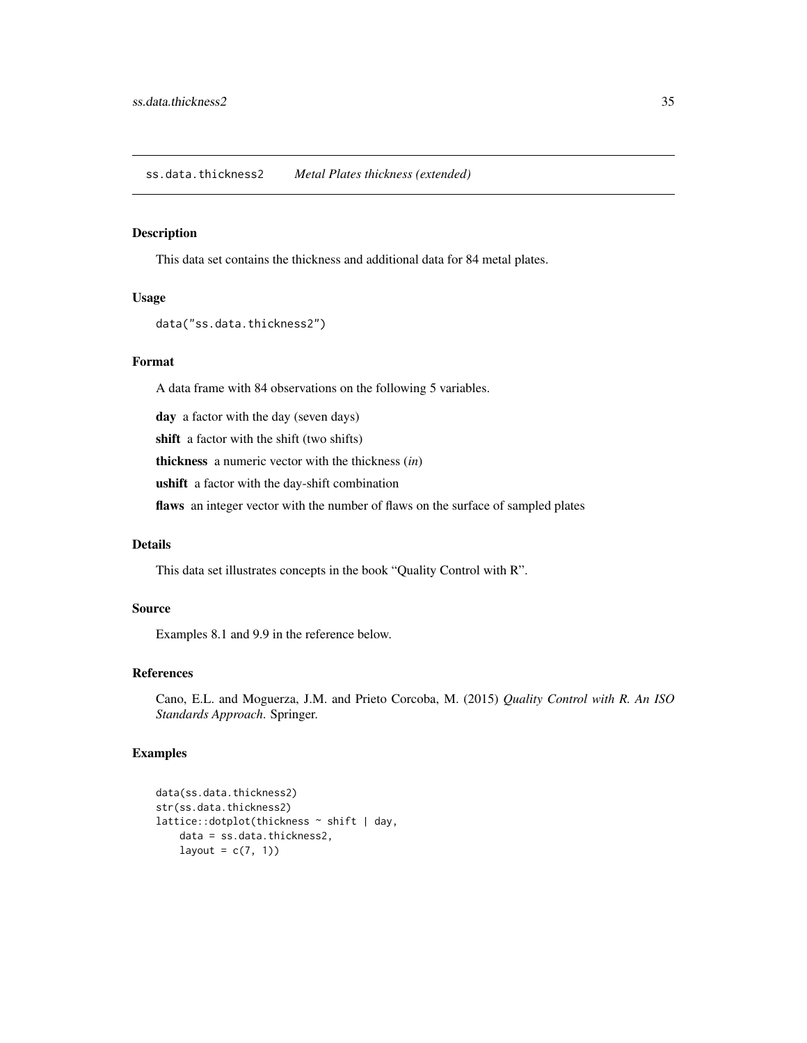<span id="page-34-0"></span>This data set contains the thickness and additional data for 84 metal plates.

#### Usage

```
data("ss.data.thickness2")
```
### Format

A data frame with 84 observations on the following 5 variables.

day a factor with the day (seven days)

shift a factor with the shift (two shifts)

thickness a numeric vector with the thickness (*in*)

ushift a factor with the day-shift combination

flaws an integer vector with the number of flaws on the surface of sampled plates

### Details

This data set illustrates concepts in the book "Quality Control with R".

### Source

Examples 8.1 and 9.9 in the reference below.

### References

Cano, E.L. and Moguerza, J.M. and Prieto Corcoba, M. (2015) *Quality Control with R. An ISO Standards Approach*. Springer.

```
data(ss.data.thickness2)
str(ss.data.thickness2)
lattice::dotplot(thickness ~ shift | day,
   data = ss.data.thickness2,
   layout = c(7, 1))
```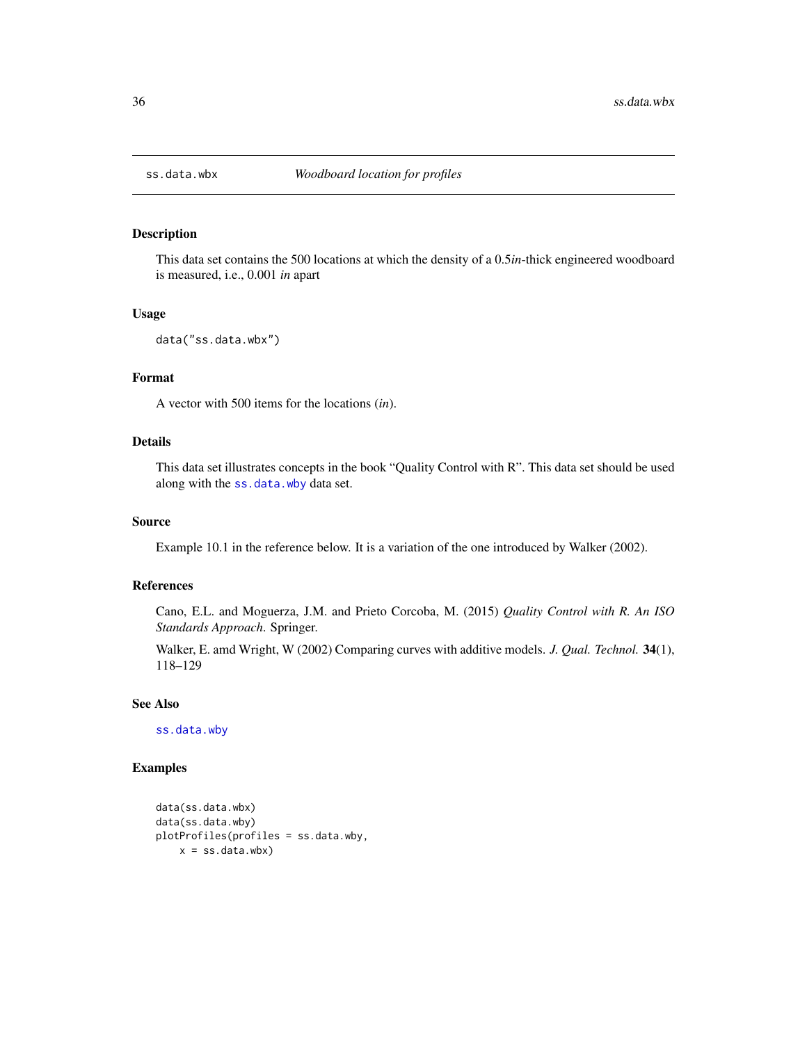<span id="page-35-1"></span><span id="page-35-0"></span>

This data set contains the 500 locations at which the density of a 0.5*in*-thick engineered woodboard is measured, i.e., 0.001 *in* apart

#### Usage

```
data("ss.data.wbx")
```
### Format

A vector with 500 items for the locations (*in*).

### Details

This data set illustrates concepts in the book "Quality Control with R". This data set should be used along with the [ss.data.wby](#page-36-1) data set.

### Source

Example 10.1 in the reference below. It is a variation of the one introduced by Walker (2002).

### References

Cano, E.L. and Moguerza, J.M. and Prieto Corcoba, M. (2015) *Quality Control with R. An ISO Standards Approach*. Springer.

Walker, E. amd Wright, W (2002) Comparing curves with additive models. *J. Qual. Technol.* 34(1), 118–129

### See Also

[ss.data.wby](#page-36-1)

```
data(ss.data.wbx)
data(ss.data.wby)
plotProfiles(profiles = ss.data.wby,
   x = ss.data.wbx)
```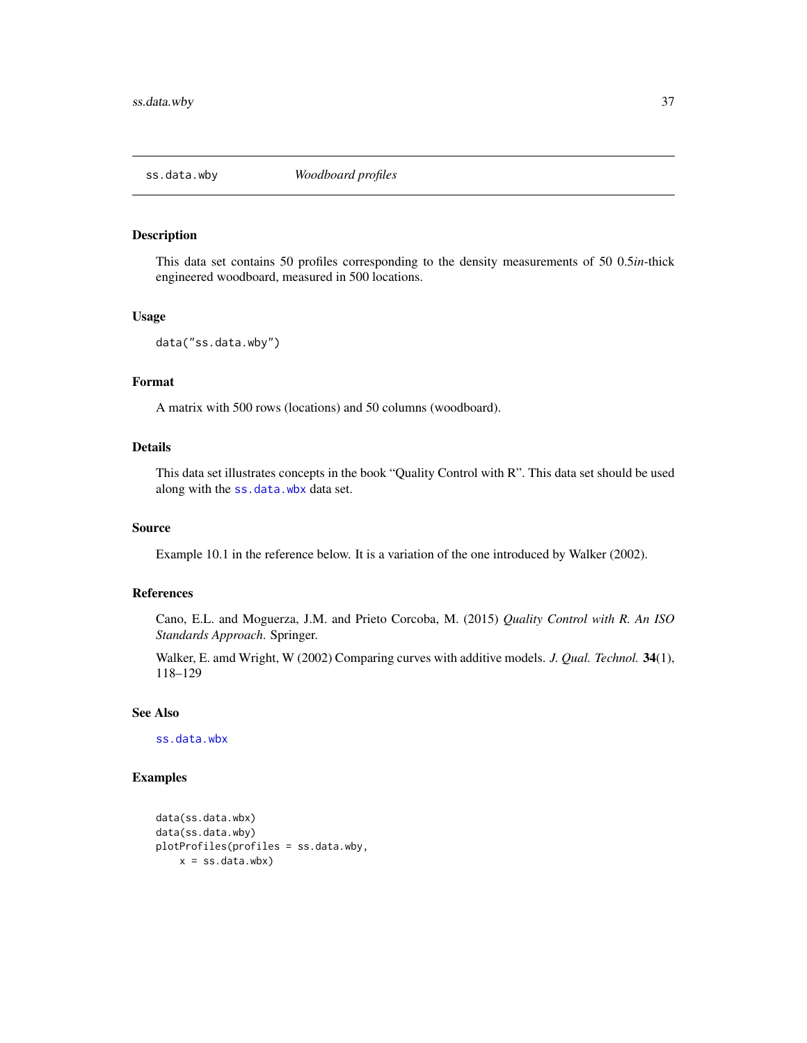<span id="page-36-1"></span><span id="page-36-0"></span>

This data set contains 50 profiles corresponding to the density measurements of 50 0.5*in*-thick engineered woodboard, measured in 500 locations.

#### Usage

```
data("ss.data.wby")
```
#### Format

A matrix with 500 rows (locations) and 50 columns (woodboard).

### Details

This data set illustrates concepts in the book "Quality Control with R". This data set should be used along with the [ss.data.wbx](#page-35-1) data set.

#### Source

Example 10.1 in the reference below. It is a variation of the one introduced by Walker (2002).

### References

Cano, E.L. and Moguerza, J.M. and Prieto Corcoba, M. (2015) *Quality Control with R. An ISO Standards Approach*. Springer.

Walker, E. amd Wright, W (2002) Comparing curves with additive models. *J. Qual. Technol.* 34(1), 118–129

#### See Also

[ss.data.wbx](#page-35-1)

```
data(ss.data.wbx)
data(ss.data.wby)
plotProfiles(profiles = ss.data.wby,
   x = ss.data.wbx)
```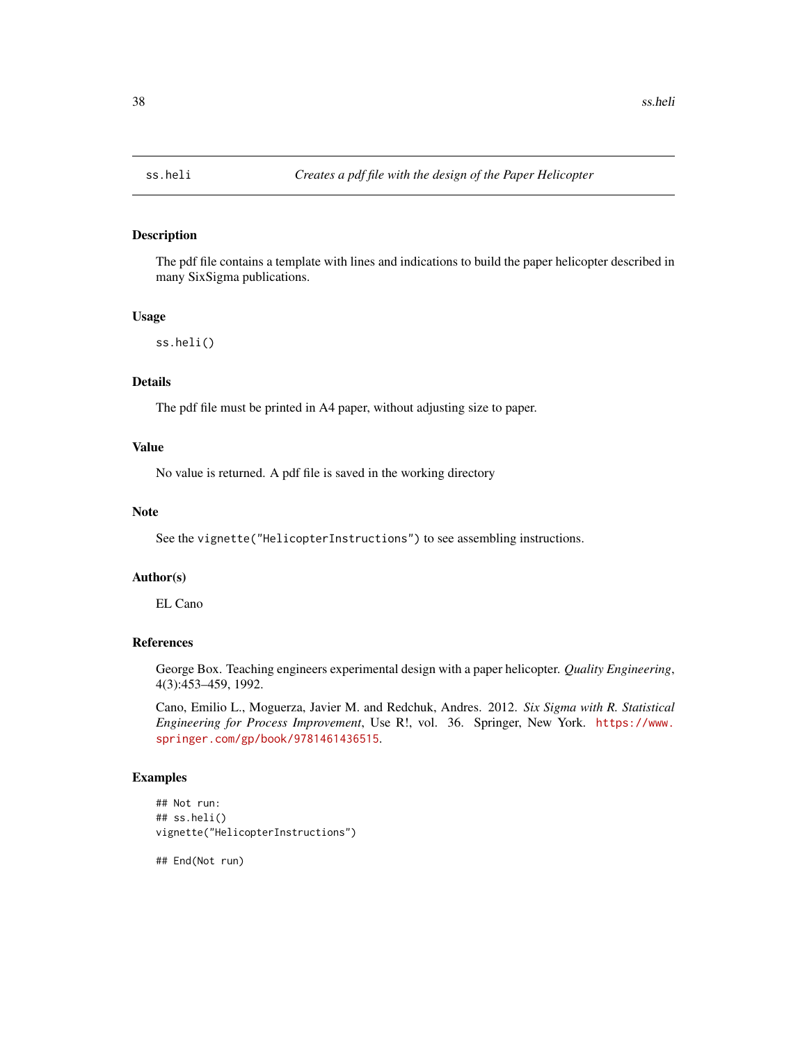<span id="page-37-1"></span><span id="page-37-0"></span>

The pdf file contains a template with lines and indications to build the paper helicopter described in many SixSigma publications.

#### Usage

ss.heli()

#### Details

The pdf file must be printed in A4 paper, without adjusting size to paper.

#### Value

No value is returned. A pdf file is saved in the working directory

### Note

See the vignette("HelicopterInstructions") to see assembling instructions.

#### Author(s)

EL Cano

### References

George Box. Teaching engineers experimental design with a paper helicopter. *Quality Engineering*, 4(3):453–459, 1992.

Cano, Emilio L., Moguerza, Javier M. and Redchuk, Andres. 2012. *Six Sigma with R. Statistical Engineering for Process Improvement*, Use R!, vol. 36. Springer, New York. [https://www.](https://www.springer.com/gp/book/9781461436515) [springer.com/gp/book/9781461436515](https://www.springer.com/gp/book/9781461436515).

#### Examples

```
## Not run:
## ss.heli()
vignette("HelicopterInstructions")
```
## End(Not run)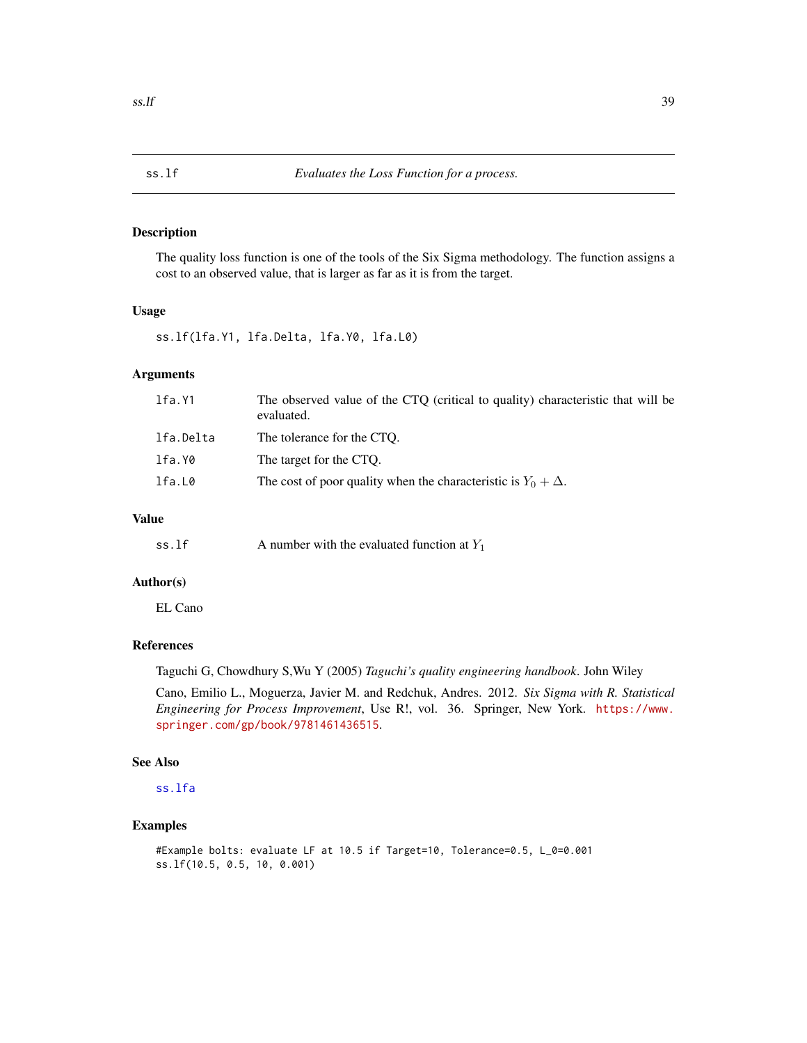<span id="page-38-1"></span><span id="page-38-0"></span>

The quality loss function is one of the tools of the Six Sigma methodology. The function assigns a cost to an observed value, that is larger as far as it is from the target.

### Usage

ss.lf(lfa.Y1, lfa.Delta, lfa.Y0, lfa.L0)

### Arguments

| The observed value of the CTQ (critical to quality) characteristic that will be<br>evaluated. |
|-----------------------------------------------------------------------------------------------|
| The tolerance for the CTO.                                                                    |
| The target for the CTO.                                                                       |
| The cost of poor quality when the characteristic is $Y_0 + \Delta$ .                          |
|                                                                                               |

#### Value

| A number with the evaluated function at $Y_1$<br>ss.lf |
|--------------------------------------------------------|
|                                                        |

#### Author(s)

EL Cano

### References

Taguchi G, Chowdhury S,Wu Y (2005) *Taguchi's quality engineering handbook*. John Wiley

Cano, Emilio L., Moguerza, Javier M. and Redchuk, Andres. 2012. *Six Sigma with R. Statistical Engineering for Process Improvement*, Use R!, vol. 36. Springer, New York. [https://www.](https://www.springer.com/gp/book/9781461436515) [springer.com/gp/book/9781461436515](https://www.springer.com/gp/book/9781461436515).

#### See Also

[ss.lfa](#page-39-1)

```
#Example bolts: evaluate LF at 10.5 if Target=10, Tolerance=0.5, L_0=0.001
ss.lf(10.5, 0.5, 10, 0.001)
```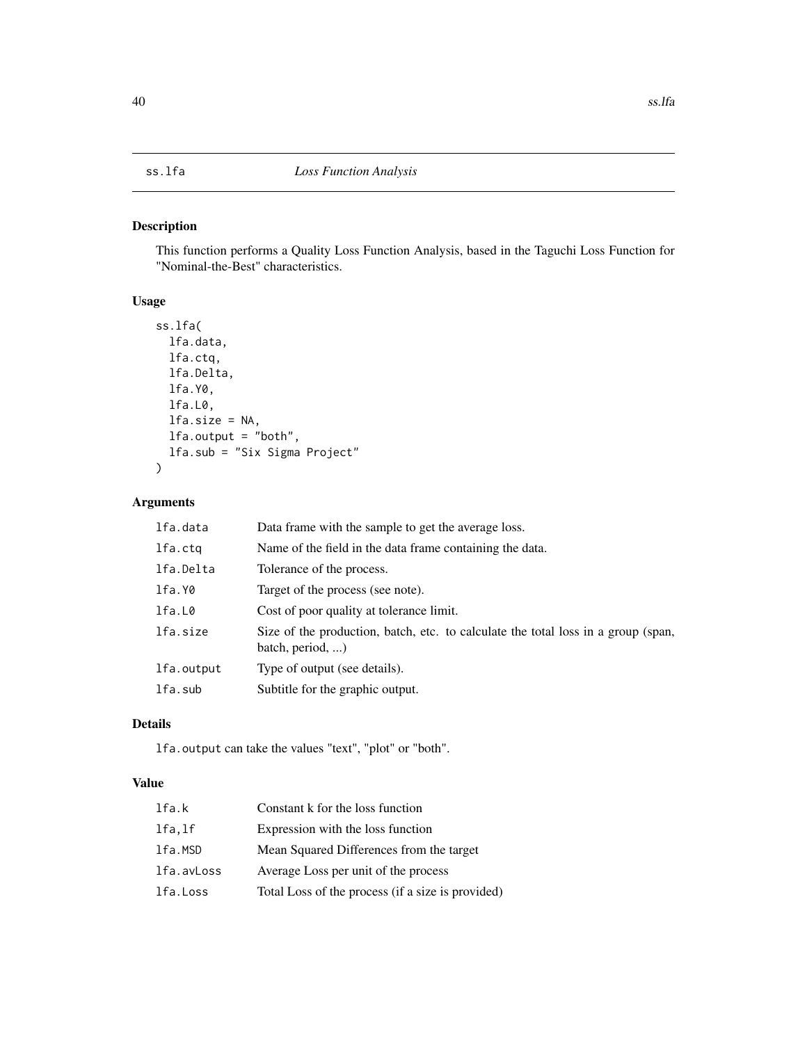<span id="page-39-1"></span><span id="page-39-0"></span>This function performs a Quality Loss Function Analysis, based in the Taguchi Loss Function for "Nominal-the-Best" characteristics.

### Usage

```
ss.lfa(
  lfa.data,
  lfa.ctq,
 lfa.Delta,
  lfa.Y0,
  lfa.L0,
  lfa.size = NA,
  lfa.output = "both",
  lfa.sub = "Six Sigma Project"
)
```
### Arguments

| lfa.data   | Data frame with the sample to get the average loss.                                                           |
|------------|---------------------------------------------------------------------------------------------------------------|
| lfa.ctq    | Name of the field in the data frame containing the data.                                                      |
| lfa.Delta  | Tolerance of the process.                                                                                     |
| lfa.Y0     | Target of the process (see note).                                                                             |
| lfa.L0     | Cost of poor quality at tolerance limit.                                                                      |
| lfa.size   | Size of the production, batch, etc. to calculate the total loss in a group (span,<br>batch, period, $\dots$ ) |
| lfa.output | Type of output (see details).                                                                                 |
| lfa.sub    | Subtitle for the graphic output.                                                                              |

### Details

lfa.output can take the values "text", "plot" or "both".

### Value

| lfa.k      | Constant k for the loss function                  |
|------------|---------------------------------------------------|
| lfa.lf     | Expression with the loss function                 |
| lfa.MSD    | Mean Squared Differences from the target          |
| lfa.avLoss | Average Loss per unit of the process              |
| lfa.Loss   | Total Loss of the process (if a size is provided) |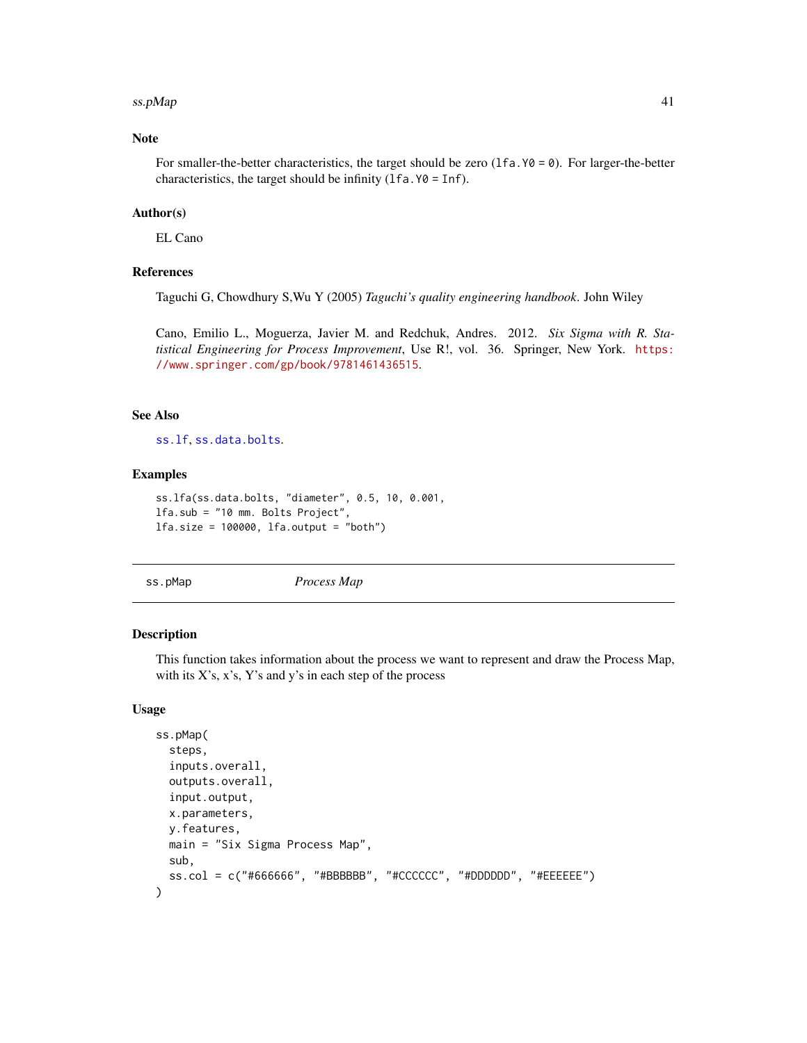#### <span id="page-40-0"></span> $s$ s.pMap  $41$

### Note

For smaller-the-better characteristics, the target should be zero (1fa.  $\gamma\theta = \theta$ ). For larger-the-better characteristics, the target should be infinity  $(1fa. Y0 = Inf)$ .

### Author(s)

EL Cano

#### References

Taguchi G, Chowdhury S,Wu Y (2005) *Taguchi's quality engineering handbook*. John Wiley

Cano, Emilio L., Moguerza, Javier M. and Redchuk, Andres. 2012. *Six Sigma with R. Statistical Engineering for Process Improvement*, Use R!, vol. 36. Springer, New York. [https:](https://www.springer.com/gp/book/9781461436515) [//www.springer.com/gp/book/9781461436515](https://www.springer.com/gp/book/9781461436515).

### See Also

[ss.lf](#page-38-1), [ss.data.bolts](#page-18-1).

#### Examples

```
ss.lfa(ss.data.bolts, "diameter", 0.5, 10, 0.001,
lfa.sub = "10 mm. Bolts Project",
lfa.size = 100000, lfa.output = "both")
```
<span id="page-40-1"></span>

ss.pMap *Process Map*

#### Description

This function takes information about the process we want to represent and draw the Process Map, with its  $X$ 's,  $x$ 's,  $Y$ 's and  $y$ 's in each step of the process

#### Usage

```
ss.pMap(
  steps,
  inputs.overall,
  outputs.overall,
  input.output,
  x.parameters,
 y.features,
 main = "Six Sigma Process Map",
  sub,
  ss.col = c("#666666", "#BBBBBB", "#CCCCCC", "#DDDDDD", "#EEEEEE")
)
```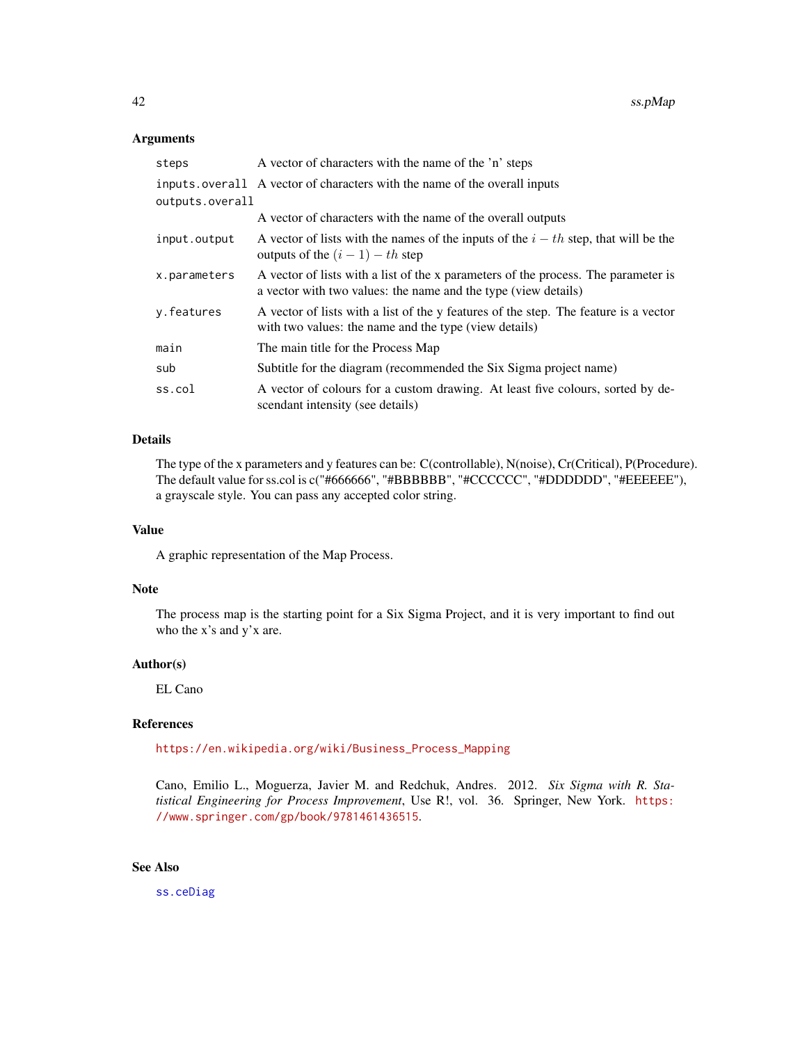#### <span id="page-41-0"></span>Arguments

| steps           | A vector of characters with the name of the 'n' steps                                                                                                |
|-----------------|------------------------------------------------------------------------------------------------------------------------------------------------------|
|                 | inputs. overall A vector of characters with the name of the overall inputs                                                                           |
| outputs.overall |                                                                                                                                                      |
|                 | A vector of characters with the name of the overall outputs                                                                                          |
| input.output    | A vector of lists with the names of the inputs of the $i - th$ step, that will be the<br>outputs of the $(i - 1) - th$ step                          |
| x.parameters    | A vector of lists with a list of the x parameters of the process. The parameter is<br>a vector with two values: the name and the type (view details) |
| y.features      | A vector of lists with a list of the y features of the step. The feature is a vector<br>with two values: the name and the type (view details)        |
| main            | The main title for the Process Map                                                                                                                   |
| sub             | Subtitle for the diagram (recommended the Six Sigma project name)                                                                                    |
| ss.col          | A vector of colours for a custom drawing. At least five colours, sorted by de-<br>scendant intensity (see details)                                   |

### Details

The type of the x parameters and y features can be: C(controllable), N(noise), Cr(Critical), P(Procedure). The default value for ss.col is c("#666666", "#BBBBBB", "#CCCCCC", "#DDDDDD", "#EEEEEE"), a grayscale style. You can pass any accepted color string.

#### Value

A graphic representation of the Map Process.

### Note

The process map is the starting point for a Six Sigma Project, and it is very important to find out who the x's and y'x are.

#### Author(s)

EL Cano

### References

[https://en.wikipedia.org/wiki/Business\\_Process\\_Mapping](https://en.wikipedia.org/wiki/Business_Process_Mapping)

Cano, Emilio L., Moguerza, Javier M. and Redchuk, Andres. 2012. *Six Sigma with R. Statistical Engineering for Process Improvement*, Use R!, vol. 36. Springer, New York. [https:](https://www.springer.com/gp/book/9781461436515) [//www.springer.com/gp/book/9781461436515](https://www.springer.com/gp/book/9781461436515).

### See Also

[ss.ceDiag](#page-13-1)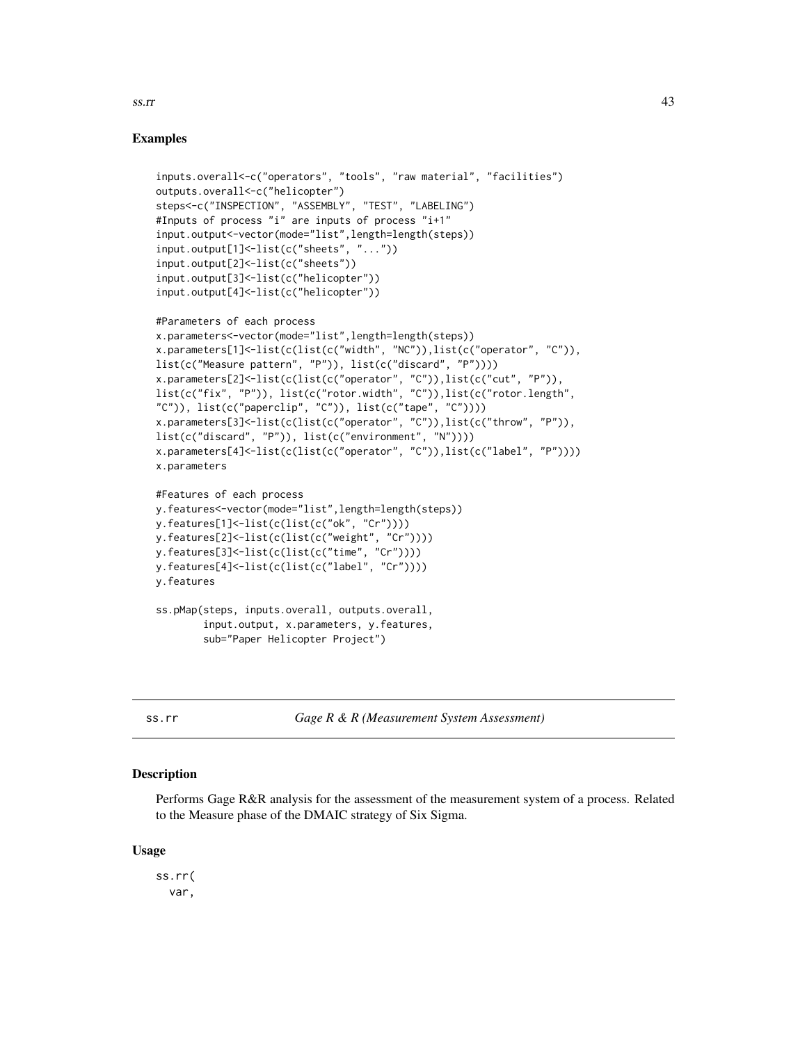## Examples

```
inputs.overall<-c("operators", "tools", "raw material", "facilities")
outputs.overall<-c("helicopter")
steps<-c("INSPECTION", "ASSEMBLY", "TEST", "LABELING")
#Inputs of process "i" are inputs of process "i+1"
input.output<-vector(mode="list",length=length(steps))
input.output[1]<-list(c("sheets", "..."))
input.output[2]<-list(c("sheets"))
input.output[3]<-list(c("helicopter"))
input.output[4]<-list(c("helicopter"))
#Parameters of each process
x.parameters<-vector(mode="list",length=length(steps))
x.parameters[1]<-list(c(list(c("width", "NC")),list(c("operator", "C")),
list(c("Measure pattern", "P")), list(c("discard", "P"))))
x.parameters[2]<-list(c(list(c("operator", "C")),list(c("cut", "P")),
list(c("fix", "P")), list(c("rotor.width", "C")),list(c("rotor.length",
"C")), list(c("paperclip", "C")), list(c("tape", "C"))x.parameters[3]<-list(c(list(c("operator", "C")),list(c("throw", "P")),
list(c("discard", "P")), list(c("environment", "N"))))
x.parameters[4]<-list(c(list(c("operator", "C")),list(c("label", "P"))))
x.parameters
#Features of each process
y.features<-vector(mode="list",length=length(steps))
y.features[1]<-list(c(list(c("ok", "Cr"))))
y.features[2]<-list(c(list(c("weight", "Cr"))))
y.features[3]<-list(c(list(c("time", "Cr"))))
y.features[4]<-list(c(list(c("label", "Cr"))))
```

```
ss.pMap(steps, inputs.overall, outputs.overall,
       input.output, x.parameters, y.features,
        sub="Paper Helicopter Project")
```
y.features

<span id="page-42-1"></span>ss.rr *Gage R & R (Measurement System Assessment)*

#### Description

Performs Gage R&R analysis for the assessment of the measurement system of a process. Related to the Measure phase of the DMAIC strategy of Six Sigma.

#### Usage

ss.rr( var,

<span id="page-42-0"></span> $ss.rr$  43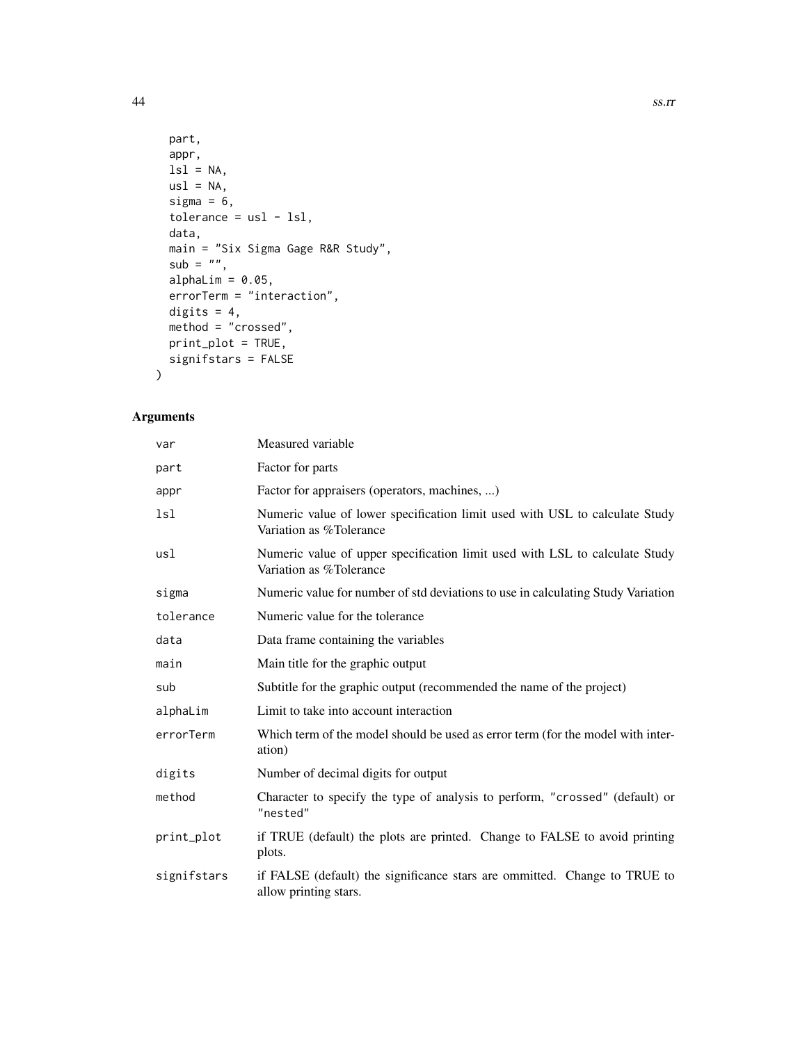```
part,
 appr,
 ls1 = NA,
 us1 = NA,sigma = 6,
 tolerance = usl - lsl,data,
 main = "Six Sigma Gage R&R Study",
 sub = "",alphaLim = 0.05,
 errorTerm = "interaction",
 digits = 4,
 method = "crossed",
 print_plot = TRUE,
 signifstars = FALSE
)
```
### Arguments

| var         | Measured variable                                                                                      |
|-------------|--------------------------------------------------------------------------------------------------------|
| part        | Factor for parts                                                                                       |
| appr        | Factor for appraisers (operators, machines, )                                                          |
| 1s1         | Numeric value of lower specification limit used with USL to calculate Study<br>Variation as %Tolerance |
| usl         | Numeric value of upper specification limit used with LSL to calculate Study<br>Variation as %Tolerance |
| sigma       | Numeric value for number of std deviations to use in calculating Study Variation                       |
| tolerance   | Numeric value for the tolerance                                                                        |
| data        | Data frame containing the variables                                                                    |
| main        | Main title for the graphic output                                                                      |
| sub         | Subtitle for the graphic output (recommended the name of the project)                                  |
| alphaLim    | Limit to take into account interaction                                                                 |
| errorTerm   | Which term of the model should be used as error term (for the model with inter-<br>ation)              |
| digits      | Number of decimal digits for output                                                                    |
| method      | Character to specify the type of analysis to perform, "crossed" (default) or<br>"nested"               |
| print_plot  | if TRUE (default) the plots are printed. Change to FALSE to avoid printing<br>plots.                   |
| signifstars | if FALSE (default) the significance stars are ommitted. Change to TRUE to<br>allow printing stars.     |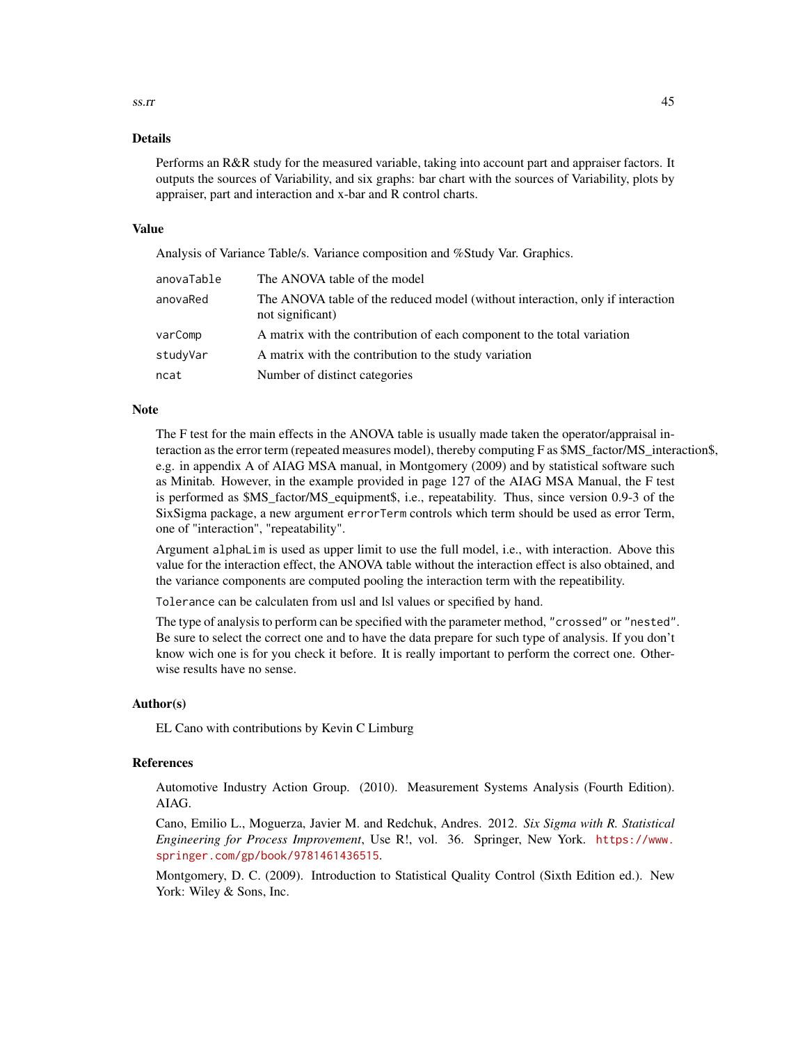### $ss.rr$  45

#### Details

Performs an R&R study for the measured variable, taking into account part and appraiser factors. It outputs the sources of Variability, and six graphs: bar chart with the sources of Variability, plots by appraiser, part and interaction and x-bar and R control charts.

#### Value

Analysis of Variance Table/s. Variance composition and %Study Var. Graphics.

| anovaTable | The ANOVA table of the model                                                                       |
|------------|----------------------------------------------------------------------------------------------------|
| anovaRed   | The ANOVA table of the reduced model (without interaction, only if interaction<br>not significant) |
| varComp    | A matrix with the contribution of each component to the total variation                            |
| studyVar   | A matrix with the contribution to the study variation                                              |
| ncat       | Number of distinct categories                                                                      |

#### Note

The F test for the main effects in the ANOVA table is usually made taken the operator/appraisal interaction as the error term (repeated measures model), thereby computing F as \$MS\_factor/MS\_interaction\$, e.g. in appendix A of AIAG MSA manual, in Montgomery (2009) and by statistical software such as Minitab. However, in the example provided in page 127 of the AIAG MSA Manual, the F test is performed as \$MS\_factor/MS\_equipment\$, i.e., repeatability. Thus, since version 0.9-3 of the SixSigma package, a new argument errorTerm controls which term should be used as error Term, one of "interaction", "repeatability".

Argument alphaLim is used as upper limit to use the full model, i.e., with interaction. Above this value for the interaction effect, the ANOVA table without the interaction effect is also obtained, and the variance components are computed pooling the interaction term with the repeatibility.

Tolerance can be calculaten from usl and lsl values or specified by hand.

The type of analysis to perform can be specified with the parameter method, "crossed" or "nested". Be sure to select the correct one and to have the data prepare for such type of analysis. If you don't know wich one is for you check it before. It is really important to perform the correct one. Otherwise results have no sense.

#### Author(s)

EL Cano with contributions by Kevin C Limburg

### References

Automotive Industry Action Group. (2010). Measurement Systems Analysis (Fourth Edition). AIAG.

Cano, Emilio L., Moguerza, Javier M. and Redchuk, Andres. 2012. *Six Sigma with R. Statistical Engineering for Process Improvement*, Use R!, vol. 36. Springer, New York. [https://www.](https://www.springer.com/gp/book/9781461436515) [springer.com/gp/book/9781461436515](https://www.springer.com/gp/book/9781461436515).

Montgomery, D. C. (2009). Introduction to Statistical Quality Control (Sixth Edition ed.). New York: Wiley & Sons, Inc.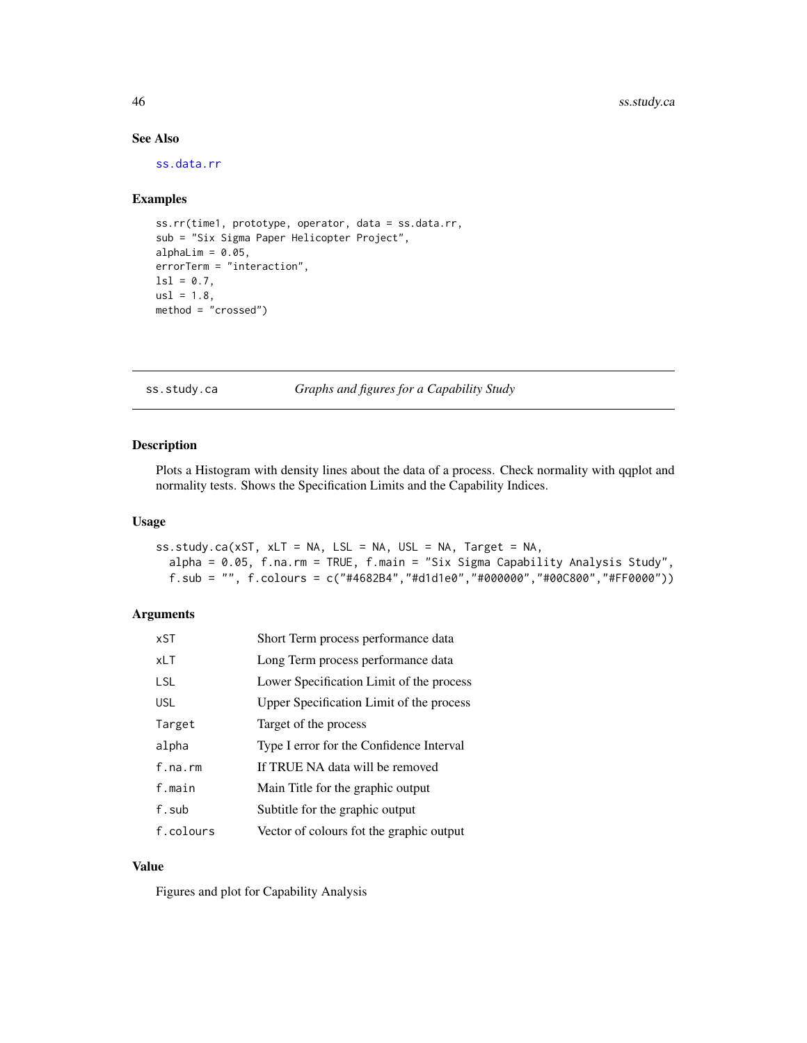### See Also

[ss.data.rr](#page-31-1)

### Examples

```
ss.rr(time1, prototype, operator, data = ss.data.rr,
sub = "Six Sigma Paper Helicopter Project",
alphaLim = 0.05,
errorTerm = "interaction",
ls1 = 0.7,
us1 = 1.8,
method = "crossed")
```
<span id="page-45-1"></span>ss.study.ca *Graphs and figures for a Capability Study*

#### Description

Plots a Histogram with density lines about the data of a process. Check normality with qqplot and normality tests. Shows the Specification Limits and the Capability Indices.

#### Usage

```
ss.study.ca(xST, xLT = NA, LSL = NA, USL = NA, Target = NA,
 alpha = 0.05, f.na.rm = TRUE, f.main = "Six Sigma Capability Analysis Study",
  f.sub = "", f.colours = c("#4682B4","#d1d1e0","#000000","#00C800","#FF0000"))
```
#### Arguments

| xST        | Short Term process performance data      |
|------------|------------------------------------------|
| <b>xLT</b> | Long Term process performance data       |
| <b>LSL</b> | Lower Specification Limit of the process |
| <b>USL</b> | Upper Specification Limit of the process |
| Target     | Target of the process                    |
| alpha      | Type I error for the Confidence Interval |
| $f$ .na.rm | If TRUE NA data will be removed          |
| f.main     | Main Title for the graphic output        |
| f.sub      | Subtitle for the graphic output          |
| f.colours  | Vector of colours fot the graphic output |

### Value

Figures and plot for Capability Analysis

<span id="page-45-0"></span>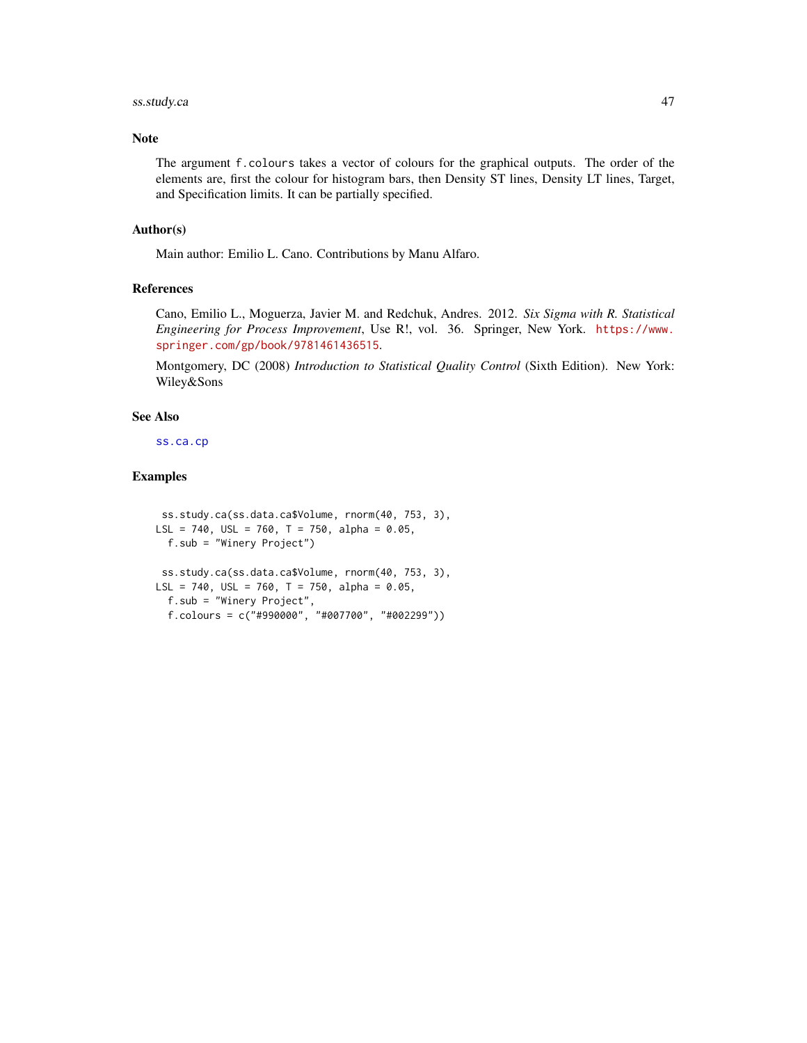### <span id="page-46-0"></span>ss.study.ca 47

#### Note

The argument f.colours takes a vector of colours for the graphical outputs. The order of the elements are, first the colour for histogram bars, then Density ST lines, Density LT lines, Target, and Specification limits. It can be partially specified.

#### Author(s)

Main author: Emilio L. Cano. Contributions by Manu Alfaro.

### References

Cano, Emilio L., Moguerza, Javier M. and Redchuk, Andres. 2012. *Six Sigma with R. Statistical Engineering for Process Improvement*, Use R!, vol. 36. Springer, New York. [https://www.](https://www.springer.com/gp/book/9781461436515) [springer.com/gp/book/9781461436515](https://www.springer.com/gp/book/9781461436515).

Montgomery, DC (2008) *Introduction to Statistical Quality Control* (Sixth Edition). New York: Wiley&Sons

#### See Also

[ss.ca.cp](#page-9-1)

```
ss.study.ca(ss.data.ca$Volume, rnorm(40, 753, 3),
LSL = 740, USL = 760, T = 750, alpha = 0.05,
  f.sub = "Winery Project")
 ss.study.ca(ss.data.ca$Volume, rnorm(40, 753, 3),
LSL = 740, USL = 760, T = 750, alpha = 0.05,
  f.sub = "Winery Project",
  f.colours = c("#990000", "#007700", "#002299"))
```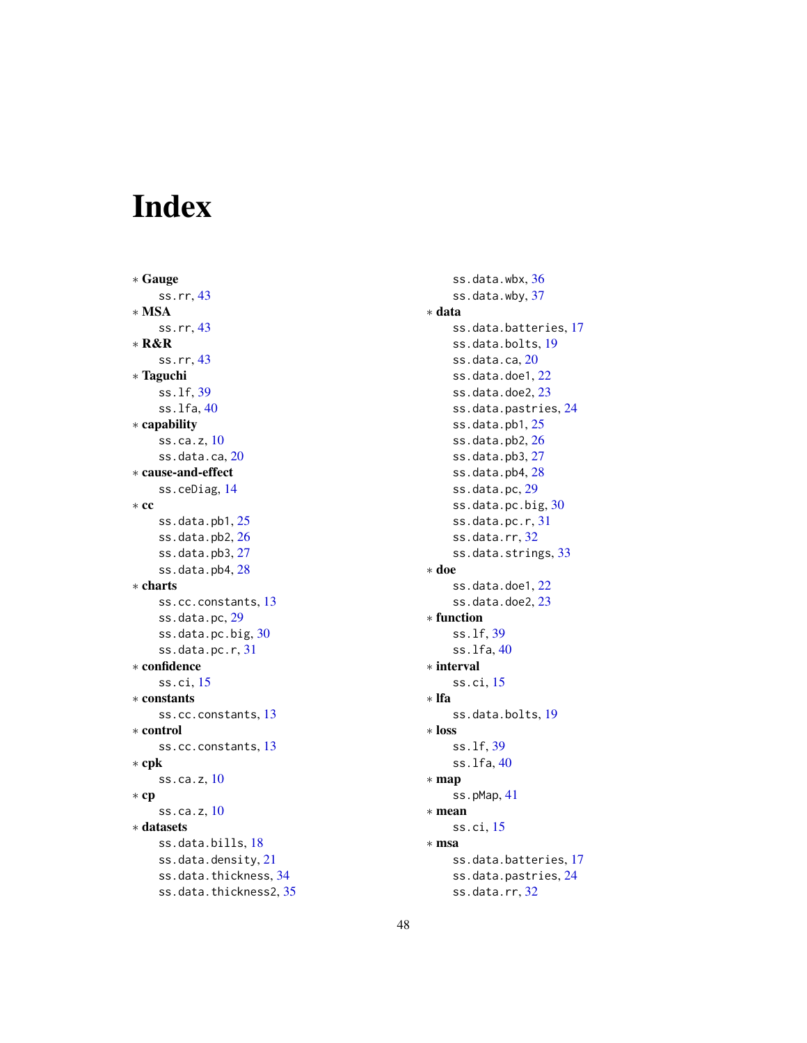# <span id="page-47-0"></span>Index

∗ Gauge ss.rr, [43](#page-42-0) ∗ MSA ss.rr, [43](#page-42-0) ∗ R&R ss.rr, [43](#page-42-0) ∗ Taguchi ss.lf, [39](#page-38-0) ss.lfa, [40](#page-39-0) ∗ capability ss.ca.z, [10](#page-9-0) ss.data.ca, [20](#page-19-0) ∗ cause-and-effect ss.ceDiag, [14](#page-13-0) ∗ cc ss.data.pb1, [25](#page-24-0) ss.data.pb2, [26](#page-25-0) ss.data.pb3, [27](#page-26-0) ss.data.pb4, [28](#page-27-0) ∗ charts ss.cc.constants, [13](#page-12-0) ss.data.pc, [29](#page-28-0) ss.data.pc.big, [30](#page-29-0) ss.data.pc.r, [31](#page-30-0) ∗ confidence ss.ci, [15](#page-14-0) ∗ constants ss.cc.constants, [13](#page-12-0) ∗ control ss.cc.constants, [13](#page-12-0) ∗ cpk ss.ca.z, [10](#page-9-0) ∗ cp ss.ca.z, [10](#page-9-0) ∗ datasets ss.data.bills, [18](#page-17-0) ss.data.density, [21](#page-20-0) ss.data.thickness, [34](#page-33-0) ss.data.thickness2, [35](#page-34-0)

ss.data.wbx, [36](#page-35-0) ss.data.wby, [37](#page-36-0) ∗ data ss.data.batteries, [17](#page-16-0) ss.data.bolts, [19](#page-18-0) ss.data.ca, [20](#page-19-0) ss.data.doe1, [22](#page-21-0) ss.data.doe2, [23](#page-22-0) ss.data.pastries, [24](#page-23-0) ss.data.pb1, [25](#page-24-0) ss.data.pb2, [26](#page-25-0) ss.data.pb3, [27](#page-26-0) ss.data.pb4, [28](#page-27-0) ss.data.pc, [29](#page-28-0) ss.data.pc.big, [30](#page-29-0) ss.data.pc.r, [31](#page-30-0) ss.data.rr, [32](#page-31-0) ss.data.strings, [33](#page-32-0) ∗ doe ss.data.doe1, [22](#page-21-0) ss.data.doe2, [23](#page-22-0) ∗ function ss.lf, [39](#page-38-0) ss.lfa, [40](#page-39-0) ∗ interval ss.ci, [15](#page-14-0) ∗ lfa ss.data.bolts, [19](#page-18-0) ∗ loss ss.lf, [39](#page-38-0) ss.lfa, [40](#page-39-0) ∗ map ss.pMap, [41](#page-40-0) ∗ mean ss.ci, [15](#page-14-0) ∗ msa ss.data.batteries, [17](#page-16-0) ss.data.pastries, [24](#page-23-0) ss.data.rr, [32](#page-31-0)